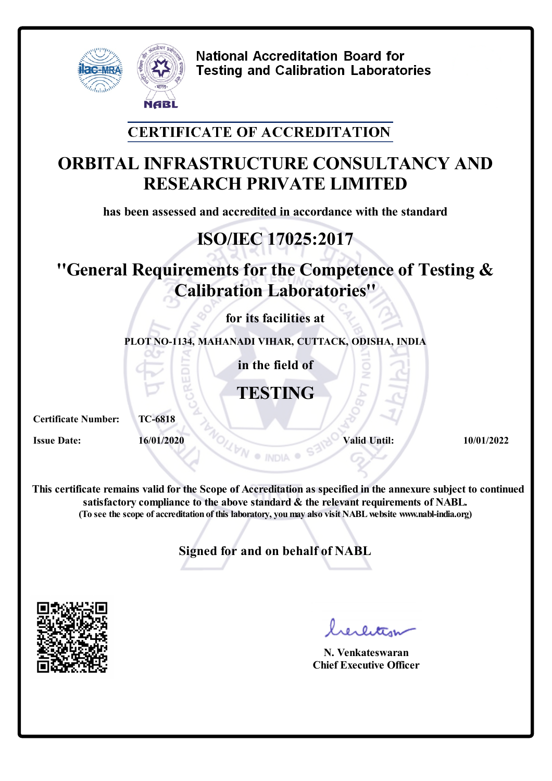

#### **CERTIFICATE OF ACCREDITATION**

# **ORBITAL INFRASTRUCTURE CONSULTANCY AND RESEARCH PRIVATE LIMITED**

**has been assessed and accredited in accordance with the standard**

# **ISO/IEC 17025:2017**

# **''General Requirements for the Competence of Testing & Calibration Laboratories''**

**for its facilities at**

**PLOT NO-1134, MAHANADI VIHAR, CUTTACK, ODISHA, INDIA**

**in the field of**

**TESTING**

**Certificate Number: TC-6818**

**Issue Date: 16/01/2020 Valid Until: 10/01/2022** 

**This certificate remains valid forthe Scope of Accreditation as specified in the annexure subject to continued satisfactory compliance to the above standard & the relevant requirements of NABL. (To see the scope of accreditation of this laboratory, youmay also visit NABLwebsite www.nabl-india.org)**

**Signed for and on behalf of NABL**



**N. Venkateswaran Chief Executive Officer**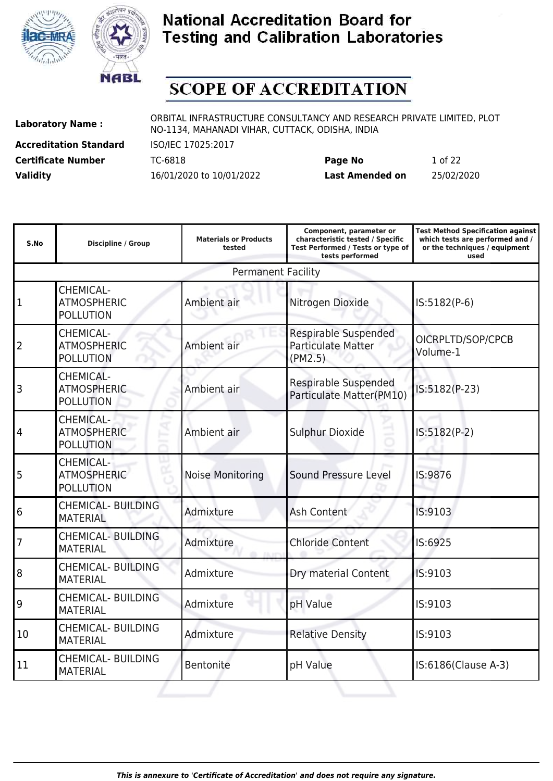



### **SCOPE OF ACCREDITATION**

**Accreditation Standard** ISO/IEC 17025:2017

**Laboratory Name :** ORBITAL INFRASTRUCTURE CONSULTANCY AND RESEARCH PRIVATE LIMITED, PLOT NO-1134, MAHANADI VIHAR, CUTTACK, ODISHA, INDIA

**Certificate Number** TC-6818 **Page No** 1 of 22 **Validity** 16/01/2020 to 10/01/2022 **Last Amended on** 25/02/2020

| S.No           | <b>Discipline / Group</b>                                  | <b>Materials or Products</b><br>tested | Component, parameter or<br>characteristic tested / Specific<br>Test Performed / Tests or type of<br>tests performed | <b>Test Method Specification against</b><br>which tests are performed and /<br>or the techniques / equipment<br>used |
|----------------|------------------------------------------------------------|----------------------------------------|---------------------------------------------------------------------------------------------------------------------|----------------------------------------------------------------------------------------------------------------------|
|                |                                                            | <b>Permanent Facility</b>              |                                                                                                                     |                                                                                                                      |
| 1              | <b>CHEMICAL-</b><br><b>ATMOSPHERIC</b><br><b>POLLUTION</b> | Ambient air                            | Nitrogen Dioxide                                                                                                    | IS:5182(P-6)                                                                                                         |
| 2              | CHEMICAL-<br><b>ATMOSPHERIC</b><br><b>POLLUTION</b>        | Ambient air                            | <b>Respirable Suspended</b><br><b>Particulate Matter</b><br>(PM2.5)                                                 | OICRPLTD/SOP/CPCB<br>Volume-1                                                                                        |
| 3              | <b>CHEMICAL-</b><br><b>ATMOSPHERIC</b><br><b>POLLUTION</b> | Ambient air                            | Respirable Suspended<br>Particulate Matter(PM10)                                                                    | IS:5182(P-23)                                                                                                        |
| 4              | <b>CHEMICAL-</b><br><b>ATMOSPHERIC</b><br><b>POLLUTION</b> | Ambient air                            | <b>Sulphur Dioxide</b>                                                                                              | IS:5182(P-2)                                                                                                         |
| 5              | <b>CHEMICAL-</b><br><b>ATMOSPHERIC</b><br><b>POLLUTION</b> | <b>Noise Monitoring</b>                | Sound Pressure Level                                                                                                | IS:9876                                                                                                              |
| 6              | <b>CHEMICAL- BUILDING</b><br><b>MATERIAL</b>               | Admixture                              | Ash Content                                                                                                         | IS:9103                                                                                                              |
| $\overline{7}$ | <b>CHEMICAL- BUILDING</b><br><b>MATERIAL</b>               | Admixture                              | <b>Chloride Content</b>                                                                                             | IS:6925                                                                                                              |
| 8              | <b>CHEMICAL- BUILDING</b><br><b>MATERIAL</b>               | Admixture                              | Dry material Content                                                                                                | IS:9103                                                                                                              |
| 9              | <b>CHEMICAL- BUILDING</b><br><b>MATERIAL</b>               | Admixture                              | pH Value                                                                                                            | IS:9103                                                                                                              |
| 10             | <b>CHEMICAL- BUILDING</b><br><b>MATERIAL</b>               | Admixture                              | <b>Relative Density</b>                                                                                             | IS:9103                                                                                                              |
| 11             | <b>CHEMICAL- BUILDING</b><br><b>MATERIAL</b>               | <b>Bentonite</b>                       | pH Value                                                                                                            | IS:6186(Clause A-3)                                                                                                  |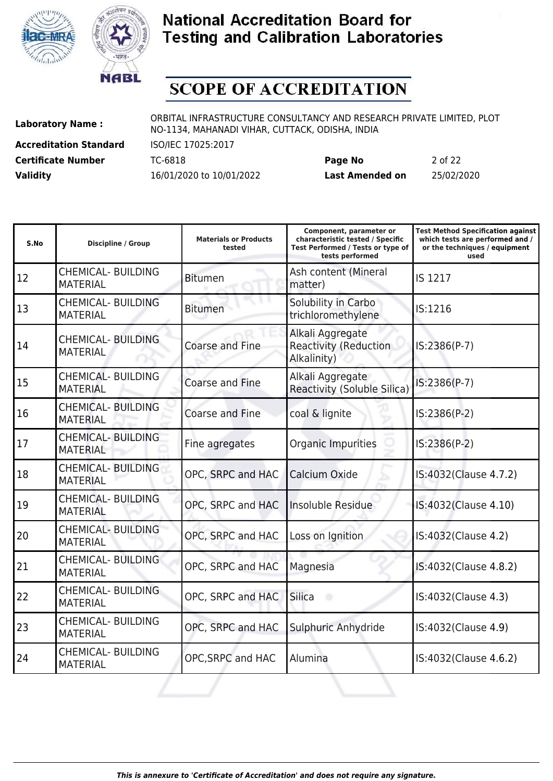



### **SCOPE OF ACCREDITATION**

**Accreditation Standard** ISO/IEC 17025:2017

**Laboratory Name :** ORBITAL INFRASTRUCTURE CONSULTANCY AND RESEARCH PRIVATE LIMITED, PLOT NO-1134, MAHANADI VIHAR, CUTTACK, ODISHA, INDIA

**Certificate Number** TC-6818 **Page No** 2 of 22 **Validity** 16/01/2020 to 10/01/2022 **Last Amended on** 25/02/2020

| S.No | <b>Discipline / Group</b>                    | <b>Materials or Products</b><br>tested | Component, parameter or<br>characteristic tested / Specific<br>Test Performed / Tests or type of<br>tests performed | <b>Test Method Specification against</b><br>which tests are performed and /<br>or the techniques / equipment<br>used |
|------|----------------------------------------------|----------------------------------------|---------------------------------------------------------------------------------------------------------------------|----------------------------------------------------------------------------------------------------------------------|
| 12   | <b>CHEMICAL- BUILDING</b><br><b>MATERIAL</b> | <b>Bitumen</b>                         | Ash content (Mineral<br>matter)                                                                                     | IS 1217                                                                                                              |
| 13   | <b>CHEMICAL- BUILDING</b><br><b>MATERIAL</b> | <b>Bitumen</b>                         | Solubility in Carbo<br>trichloromethylene                                                                           | IS:1216                                                                                                              |
| 14   | <b>CHEMICAL- BUILDING</b><br><b>MATERIAL</b> | <b>Coarse and Fine</b>                 | Alkali Aggregate<br><b>Reactivity (Reduction</b><br>Alkalinity)                                                     | IS:2386(P-7)                                                                                                         |
| 15   | <b>CHEMICAL- BUILDING</b><br><b>MATERIAL</b> | Coarse and Fine                        | Alkali Aggregate<br>Reactivity (Soluble Silica)                                                                     | IS:2386(P-7)                                                                                                         |
| 16   | <b>CHEMICAL- BUILDING</b><br><b>MATERIAL</b> | Coarse and Fine                        | coal & lignite                                                                                                      | IS:2386(P-2)                                                                                                         |
| 17   | <b>CHEMICAL- BUILDING</b><br><b>MATERIAL</b> | Fine agregates                         | Organic Impurities                                                                                                  | IS:2386(P-2)                                                                                                         |
| 18   | <b>CHEMICAL- BUILDING</b><br><b>MATERIAL</b> | OPC, SRPC and HAC                      | Calcium Oxide                                                                                                       | IS:4032(Clause 4.7.2)                                                                                                |
| 19   | <b>CHEMICAL- BUILDING</b><br><b>MATERIAL</b> | OPC, SRPC and HAC                      | Insoluble Residue                                                                                                   | IS:4032(Clause 4.10)                                                                                                 |
| 20   | <b>CHEMICAL- BUILDING</b><br><b>MATERIAL</b> | OPC, SRPC and HAC                      | Loss on Ignition                                                                                                    | IS:4032(Clause 4.2)                                                                                                  |
| 21   | <b>CHEMICAL- BUILDING</b><br><b>MATERIAL</b> | OPC, SRPC and HAC                      | Magnesia                                                                                                            | IS:4032(Clause 4.8.2)                                                                                                |
| 22   | <b>CHEMICAL- BUILDING</b><br><b>MATERIAL</b> | OPC, SRPC and HAC                      | <b>Silica</b>                                                                                                       | IS:4032(Clause 4.3)                                                                                                  |
| 23   | <b>CHEMICAL- BUILDING</b><br><b>MATERIAL</b> | OPC, SRPC and HAC                      | Sulphuric Anhydride                                                                                                 | IS:4032(Clause 4.9)                                                                                                  |
| 24   | <b>CHEMICAL- BUILDING</b><br><b>MATERIAL</b> | OPC, SRPC and HAC                      | Alumina                                                                                                             | IS:4032(Clause 4.6.2)                                                                                                |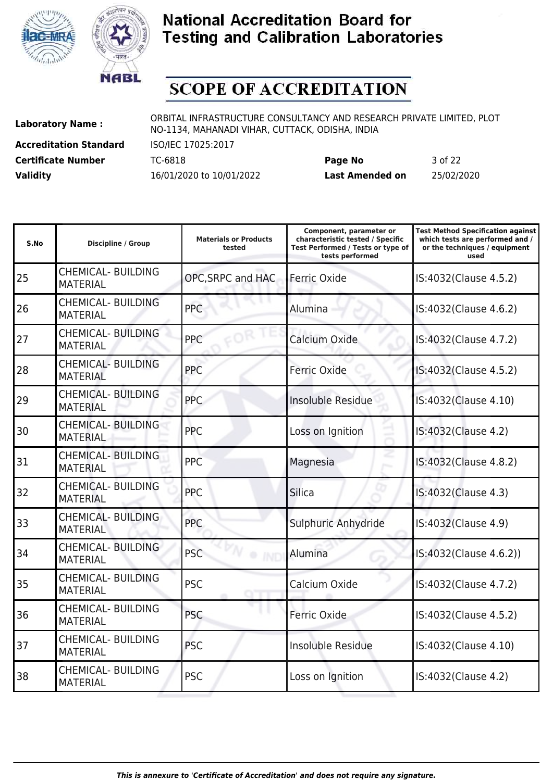



# **SCOPE OF ACCREDITATION**

**Accreditation Standard** ISO/IEC 17025:2017

**Laboratory Name :** ORBITAL INFRASTRUCTURE CONSULTANCY AND RESEARCH PRIVATE LIMITED, PLOT NO-1134, MAHANADI VIHAR, CUTTACK, ODISHA, INDIA

**Certificate Number** TC-6818 **Page No** 3 of 22 **Validity** 16/01/2020 to 10/01/2022 **Last Amended on** 25/02/2020

| S.No | <b>Discipline / Group</b>                    | <b>Materials or Products</b><br>tested | Component, parameter or<br>characteristic tested / Specific<br>Test Performed / Tests or type of<br>tests performed | <b>Test Method Specification against</b><br>which tests are performed and /<br>or the techniques / equipment<br>used |
|------|----------------------------------------------|----------------------------------------|---------------------------------------------------------------------------------------------------------------------|----------------------------------------------------------------------------------------------------------------------|
| 25   | <b>CHEMICAL- BUILDING</b><br><b>MATERIAL</b> | OPC, SRPC and HAC                      | Ferric Oxide                                                                                                        | IS:4032(Clause 4.5.2)                                                                                                |
| 26   | <b>CHEMICAL- BUILDING</b><br><b>MATERIAL</b> | <b>PPC</b>                             | Alumina                                                                                                             | IS:4032(Clause 4.6.2)                                                                                                |
| 27   | <b>CHEMICAL- BUILDING</b><br><b>MATERIAL</b> | PPC                                    | Calcium Oxide                                                                                                       | IS:4032(Clause 4.7.2)                                                                                                |
| 28   | <b>CHEMICAL- BUILDING</b><br><b>MATERIAL</b> | <b>PPC</b>                             | Ferric Oxide                                                                                                        | IS:4032(Clause 4.5.2)                                                                                                |
| 29   | <b>CHEMICAL- BUILDING</b><br><b>MATERIAL</b> | <b>PPC</b>                             | Insoluble Residue                                                                                                   | IS:4032(Clause 4.10)                                                                                                 |
| 30   | <b>CHEMICAL- BUILDING</b><br><b>MATERIAL</b> | <b>PPC</b>                             | Loss on Ignition                                                                                                    | IS:4032(Clause 4.2)                                                                                                  |
| 31   | <b>CHEMICAL- BUILDING</b><br><b>MATERIAL</b> | <b>PPC</b>                             | Magnesia                                                                                                            | IS:4032(Clause 4.8.2)                                                                                                |
| 32   | <b>CHEMICAL- BUILDING</b><br><b>MATERIAL</b> | <b>PPC</b>                             | <b>Silica</b>                                                                                                       | IS:4032(Clause 4.3)                                                                                                  |
| 33   | <b>CHEMICAL- BUILDING</b><br><b>MATERIAL</b> | <b>PPC</b>                             | Sulphuric Anhydride                                                                                                 | IS:4032(Clause 4.9)                                                                                                  |
| 34   | <b>CHEMICAL- BUILDING</b><br><b>MATERIAL</b> | <b>PSC</b><br>· IND                    | Alumina                                                                                                             | IS:4032(Clause 4.6.2))                                                                                               |
| 35   | <b>CHEMICAL- BUILDING</b><br><b>MATERIAL</b> | <b>PSC</b>                             | Calcium Oxide                                                                                                       | IS:4032(Clause 4.7.2)                                                                                                |
| 36   | <b>CHEMICAL- BUILDING</b><br><b>MATERIAL</b> | <b>PSC</b>                             | Ferric Oxide                                                                                                        | IS:4032(Clause 4.5.2)                                                                                                |
| 37   | <b>CHEMICAL- BUILDING</b><br><b>MATERIAL</b> | <b>PSC</b>                             | Insoluble Residue                                                                                                   | IS:4032(Clause 4.10)                                                                                                 |
| 38   | <b>CHEMICAL- BUILDING</b><br><b>MATERIAL</b> | <b>PSC</b>                             | Loss on Ignition                                                                                                    | IS:4032(Clause 4.2)                                                                                                  |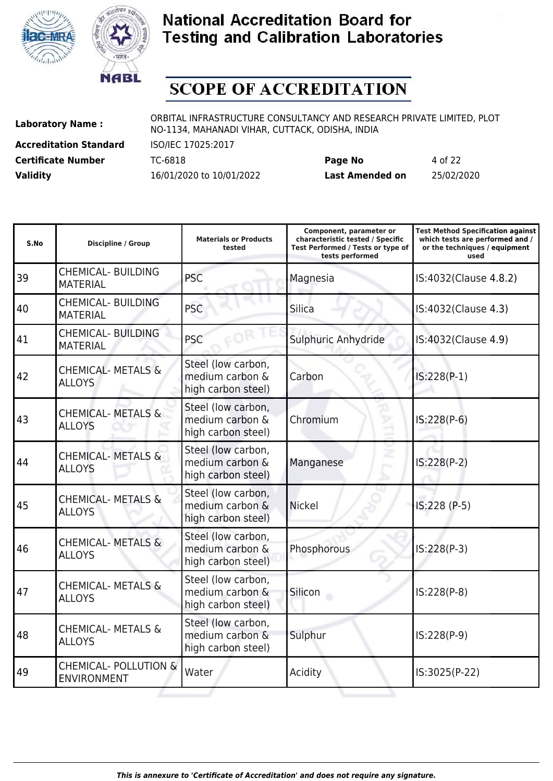



# **SCOPE OF ACCREDITATION**

**Accreditation Standard** ISO/IEC 17025:2017

**Laboratory Name :** ORBITAL INFRASTRUCTURE CONSULTANCY AND RESEARCH PRIVATE LIMITED, PLOT NO-1134, MAHANADI VIHAR, CUTTACK, ODISHA, INDIA

**Certificate Number** TC-6818 **Page No** 4 of 22 **Validity** 16/01/2020 to 10/01/2022 **Last Amended on** 25/02/2020

| S.No | <b>Discipline / Group</b>                              | <b>Materials or Products</b><br>tested                      | Component, parameter or<br>characteristic tested / Specific<br>Test Performed / Tests or type of<br>tests performed | <b>Test Method Specification against</b><br>which tests are performed and /<br>or the techniques / equipment<br>used |
|------|--------------------------------------------------------|-------------------------------------------------------------|---------------------------------------------------------------------------------------------------------------------|----------------------------------------------------------------------------------------------------------------------|
| 39   | <b>CHEMICAL- BUILDING</b><br><b>MATERIAL</b>           | <b>PSC</b>                                                  | Magnesia                                                                                                            | IS:4032(Clause 4.8.2)                                                                                                |
| 40   | <b>CHEMICAL- BUILDING</b><br><b>MATERIAL</b>           | <b>PSC</b>                                                  | Silica                                                                                                              | IS:4032(Clause 4.3)                                                                                                  |
| 41   | <b>CHEMICAL- BUILDING</b><br><b>MATERIAL</b>           | <b>PSC</b>                                                  | Sulphuric Anhydride                                                                                                 | IS:4032(Clause 4.9)                                                                                                  |
| 42   | <b>CHEMICAL- METALS &amp;</b><br><b>ALLOYS</b>         | Steel (low carbon,<br>medium carbon &<br>high carbon steel) | Carbon                                                                                                              | $IS:228(P-1)$                                                                                                        |
| 43   | <b>CHEMICAL- METALS &amp;</b><br><b>ALLOYS</b>         | Steel (low carbon,<br>medium carbon &<br>high carbon steel) | Chromium                                                                                                            | $IS:228(P-6)$                                                                                                        |
| 44   | <b>CHEMICAL- METALS &amp;</b><br><b>ALLOYS</b>         | Steel (low carbon,<br>medium carbon &<br>high carbon steel) | Manganese                                                                                                           | IS:228(P-2)                                                                                                          |
| 45   | <b>CHEMICAL- METALS &amp;</b><br><b>ALLOYS</b>         | Steel (low carbon,<br>medium carbon &<br>high carbon steel) | <b>Nickel</b>                                                                                                       | IS:228 (P-5)                                                                                                         |
| 46   | <b>CHEMICAL- METALS &amp;</b><br><b>ALLOYS</b>         | Steel (low carbon,<br>medium carbon &<br>high carbon steel) | Phosphorous                                                                                                         | $IS:228(P-3)$                                                                                                        |
| 47   | <b>CHEMICAL- METALS &amp;</b><br><b>ALLOYS</b>         | Steel (low carbon,<br>medium carbon &<br>high carbon steel) | Silicon                                                                                                             | $IS:228(P-8)$                                                                                                        |
| 48   | <b>CHEMICAL- METALS &amp;</b><br><b>ALLOYS</b>         | Steel (low carbon,<br>medium carbon &<br>high carbon steel) | Sulphur                                                                                                             | IS:228(P-9)                                                                                                          |
| 49   | <b>CHEMICAL- POLLUTION &amp;</b><br><b>ENVIRONMENT</b> | Water                                                       | Acidity                                                                                                             | IS:3025(P-22)                                                                                                        |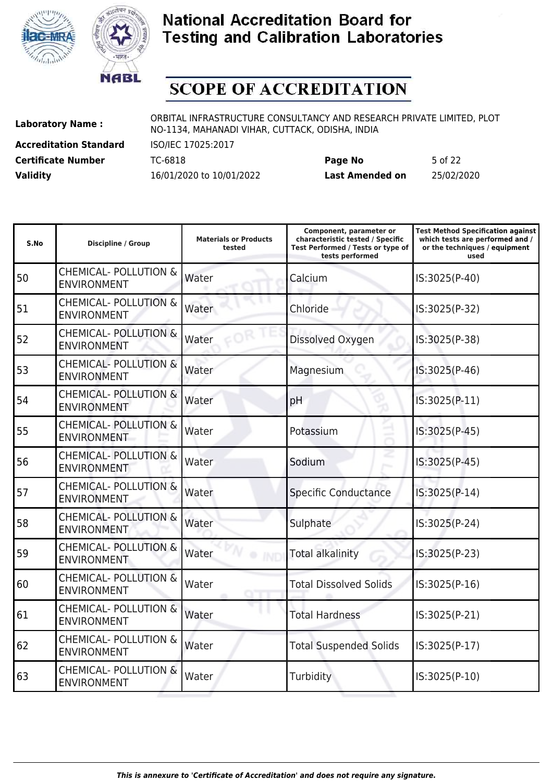



# **SCOPE OF ACCREDITATION**

**Accreditation Standard** ISO/IEC 17025:2017

**Laboratory Name :** ORBITAL INFRASTRUCTURE CONSULTANCY AND RESEARCH PRIVATE LIMITED, PLOT NO-1134, MAHANADI VIHAR, CUTTACK, ODISHA, INDIA

**Certificate Number** TC-6818 **Page No** 5 of 22 **Validity** 16/01/2020 to 10/01/2022 **Last Amended on** 25/02/2020

| <b>Discipline / Group</b>                              | <b>Materials or Products</b><br>tested | Component, parameter or<br>characteristic tested / Specific<br>Test Performed / Tests or type of<br>tests performed | <b>Test Method Specification against</b><br>which tests are performed and /<br>or the techniques / equipment<br>used |
|--------------------------------------------------------|----------------------------------------|---------------------------------------------------------------------------------------------------------------------|----------------------------------------------------------------------------------------------------------------------|
| <b>CHEMICAL- POLLUTION &amp;</b><br><b>ENVIRONMENT</b> | Water                                  | Calcium                                                                                                             | IS:3025(P-40)                                                                                                        |
| <b>CHEMICAL- POLLUTION &amp;</b><br><b>ENVIRONMENT</b> | Water                                  | Chloride                                                                                                            | IS:3025(P-32)                                                                                                        |
| <b>CHEMICAL- POLLUTION &amp;</b><br><b>ENVIRONMENT</b> | Water                                  | Dissolved Oxygen                                                                                                    | IS:3025(P-38)                                                                                                        |
| <b>CHEMICAL- POLLUTION &amp;</b><br><b>ENVIRONMENT</b> | Water                                  | Magnesium                                                                                                           | IS:3025(P-46)                                                                                                        |
| <b>CHEMICAL- POLLUTION &amp;</b><br><b>ENVIRONMENT</b> | Water                                  | pH                                                                                                                  | IS:3025(P-11)                                                                                                        |
| <b>CHEMICAL- POLLUTION &amp;</b><br><b>ENVIRONMENT</b> | Water                                  | Potassium                                                                                                           | IS:3025(P-45)                                                                                                        |
| <b>CHEMICAL- POLLUTION &amp;</b><br><b>ENVIRONMENT</b> | Water                                  | Sodium                                                                                                              | IS:3025(P-45)                                                                                                        |
| <b>CHEMICAL- POLLUTION &amp;</b><br><b>ENVIRONMENT</b> | Water                                  | <b>Specific Conductance</b>                                                                                         | IS:3025(P-14)                                                                                                        |
| <b>CHEMICAL- POLLUTION &amp;</b><br><b>ENVIRONMENT</b> | Water                                  | Sulphate                                                                                                            | IS:3025(P-24)                                                                                                        |
| <b>CHEMICAL- POLLUTION &amp;</b><br><b>ENVIRONMENT</b> | Water                                  | <b>Total alkalinity</b>                                                                                             | IS:3025(P-23)                                                                                                        |
| <b>CHEMICAL- POLLUTION &amp;</b><br><b>ENVIRONMENT</b> | Water                                  | <b>Total Dissolved Solids</b>                                                                                       | IS:3025(P-16)                                                                                                        |
| <b>CHEMICAL- POLLUTION &amp;</b><br><b>ENVIRONMENT</b> | Water                                  | <b>Total Hardness</b>                                                                                               | IS:3025(P-21)                                                                                                        |
| <b>CHEMICAL- POLLUTION &amp;</b><br><b>ENVIRONMENT</b> | Water                                  | <b>Total Suspended Solids</b>                                                                                       | IS:3025(P-17)                                                                                                        |
| <b>CHEMICAL- POLLUTION &amp;</b><br><b>ENVIRONMENT</b> | Water                                  | Turbidity                                                                                                           | IS:3025(P-10)                                                                                                        |
|                                                        |                                        |                                                                                                                     |                                                                                                                      |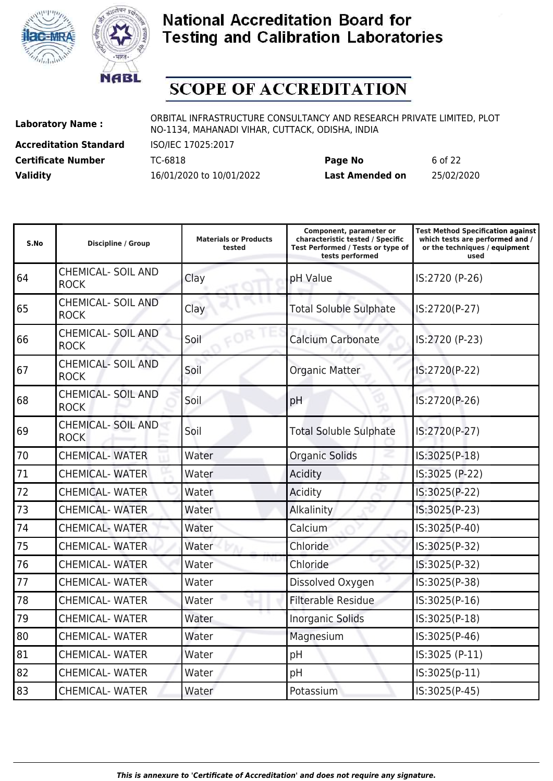



# **SCOPE OF ACCREDITATION**

**Accreditation Standard** ISO/IEC 17025:2017

**Laboratory Name :** ORBITAL INFRASTRUCTURE CONSULTANCY AND RESEARCH PRIVATE LIMITED, PLOT NO-1134, MAHANADI VIHAR, CUTTACK, ODISHA, INDIA

**Certificate Number** TC-6818 **Page No** 6 of 22 **Validity** 16/01/2020 to 10/01/2022 **Last Amended on** 25/02/2020

| S.No | <b>Discipline / Group</b>                | <b>Materials or Products</b><br>tested | Component, parameter or<br>characteristic tested / Specific<br>Test Performed / Tests or type of<br>tests performed | <b>Test Method Specification against</b><br>which tests are performed and /<br>or the techniques / equipment<br>used |
|------|------------------------------------------|----------------------------------------|---------------------------------------------------------------------------------------------------------------------|----------------------------------------------------------------------------------------------------------------------|
| 64   | <b>CHEMICAL- SOIL AND</b><br><b>ROCK</b> | Clay                                   | pH Value                                                                                                            | IS:2720 (P-26)                                                                                                       |
| 65   | <b>CHEMICAL- SOIL AND</b><br><b>ROCK</b> | Clay                                   | <b>Total Soluble Sulphate</b>                                                                                       | IS:2720(P-27)                                                                                                        |
| 66   | <b>CHEMICAL- SOIL AND</b><br><b>ROCK</b> | Soil                                   | <b>Calcium Carbonate</b>                                                                                            | IS:2720 (P-23)                                                                                                       |
| 67   | <b>CHEMICAL- SOIL AND</b><br><b>ROCK</b> | Soil                                   | <b>Organic Matter</b>                                                                                               | IS:2720(P-22)                                                                                                        |
| 68   | <b>CHEMICAL- SOIL AND</b><br><b>ROCK</b> | Soil                                   | pH                                                                                                                  | IS:2720(P-26)                                                                                                        |
| 69   | <b>CHEMICAL- SOIL AND</b><br><b>ROCK</b> | Soil                                   | <b>Total Soluble Sulphate</b>                                                                                       | IS:2720(P-27)                                                                                                        |
| 70   | <b>CHEMICAL-WATER</b>                    | Water                                  | <b>Organic Solids</b>                                                                                               | IS:3025(P-18)                                                                                                        |
| 71   | <b>CHEMICAL-WATER</b>                    | Water                                  | Acidity                                                                                                             | IS:3025 (P-22)                                                                                                       |
| 72   | <b>CHEMICAL- WATER</b>                   | Water                                  | Acidity                                                                                                             | IS:3025(P-22)                                                                                                        |
| 73   | <b>CHEMICAL- WATER</b>                   | Water                                  | Alkalinity                                                                                                          | IS:3025(P-23)                                                                                                        |
| 74   | <b>CHEMICAL-WATER</b>                    | Water                                  | Calcium                                                                                                             | IS:3025(P-40)                                                                                                        |
| 75   | <b>CHEMICAL- WATER</b>                   | Water                                  | Chloride                                                                                                            | IS:3025(P-32)                                                                                                        |
| 76   | <b>CHEMICAL- WATER</b>                   | Water                                  | Chloride                                                                                                            | IS:3025(P-32)                                                                                                        |
| 77   | <b>CHEMICAL-WATER</b>                    | Water                                  | Dissolved Oxygen                                                                                                    | IS:3025(P-38)                                                                                                        |
| 78   | <b>CHEMICAL- WATER</b>                   | Water                                  | <b>Filterable Residue</b>                                                                                           | IS:3025(P-16)                                                                                                        |
| 79   | <b>CHEMICAL- WATER</b>                   | Water                                  | <b>Inorganic Solids</b>                                                                                             | IS:3025(P-18)                                                                                                        |
| 80   | <b>CHEMICAL- WATER</b>                   | Water                                  | Magnesium                                                                                                           | IS:3025(P-46)                                                                                                        |
| 81   | <b>CHEMICAL- WATER</b>                   | Water                                  | pH                                                                                                                  | IS:3025 (P-11)                                                                                                       |
| 82   | <b>CHEMICAL- WATER</b>                   | Water                                  | pH                                                                                                                  | IS:3025(p-11)                                                                                                        |
| 83   | <b>CHEMICAL- WATER</b>                   | Water                                  | Potassium                                                                                                           | IS:3025(P-45)                                                                                                        |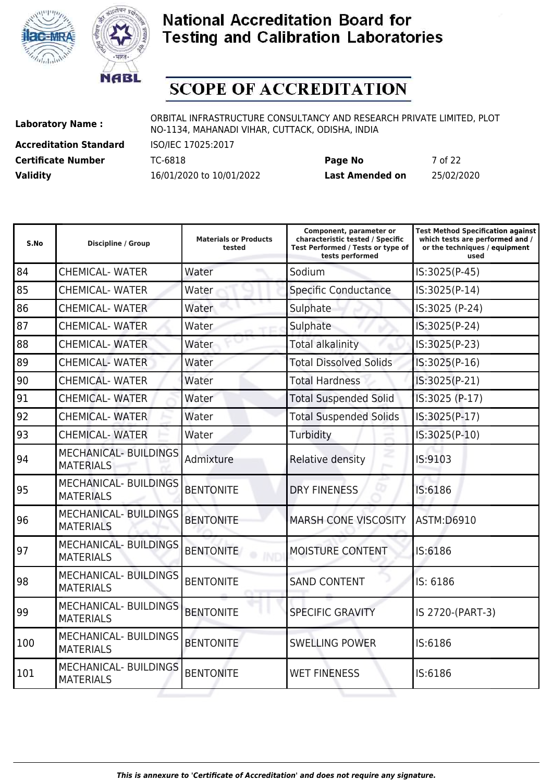



# **SCOPE OF ACCREDITATION**

**Accreditation Standard** ISO/IEC 17025:2017

**Laboratory Name :** ORBITAL INFRASTRUCTURE CONSULTANCY AND RESEARCH PRIVATE LIMITED, PLOT NO-1134, MAHANADI VIHAR, CUTTACK, ODISHA, INDIA

**Certificate Number** TC-6818 **Page No** 7 of 22 **Validity** 16/01/2020 to 10/01/2022 **Last Amended on** 25/02/2020

| S.No | <b>Discipline / Group</b>                        | <b>Materials or Products</b><br>tested | Component, parameter or<br>characteristic tested / Specific<br>Test Performed / Tests or type of<br>tests performed | <b>Test Method Specification against</b><br>which tests are performed and /<br>or the techniques / equipment<br>used |
|------|--------------------------------------------------|----------------------------------------|---------------------------------------------------------------------------------------------------------------------|----------------------------------------------------------------------------------------------------------------------|
| 84   | <b>CHEMICAL- WATER</b>                           | Water                                  | Sodium                                                                                                              | IS:3025(P-45)                                                                                                        |
| 85   | <b>CHEMICAL- WATER</b>                           | Water                                  | <b>Specific Conductance</b>                                                                                         | IS:3025(P-14)                                                                                                        |
| 86   | <b>CHEMICAL- WATER</b>                           | Water                                  | Sulphate                                                                                                            | IS:3025 (P-24)                                                                                                       |
| 87   | <b>CHEMICAL- WATER</b>                           | Water                                  | Sulphate                                                                                                            | IS:3025(P-24)                                                                                                        |
| 88   | <b>CHEMICAL-WATER</b>                            | Water                                  | <b>Total alkalinity</b>                                                                                             | IS:3025(P-23)                                                                                                        |
| 89   | <b>CHEMICAL- WATER</b>                           | Water                                  | <b>Total Dissolved Solids</b>                                                                                       | IS:3025(P-16)                                                                                                        |
| 90   | <b>CHEMICAL- WATER</b>                           | Water                                  | <b>Total Hardness</b>                                                                                               | IS:3025(P-21)                                                                                                        |
| 91   | <b>CHEMICAL- WATER</b>                           | Water                                  | <b>Total Suspended Solid</b>                                                                                        | IS:3025 (P-17)                                                                                                       |
| 92   | <b>CHEMICAL- WATER</b>                           | Water                                  | <b>Total Suspended Solids</b>                                                                                       | IS:3025(P-17)                                                                                                        |
| 93   | <b>CHEMICAL-WATER</b>                            | Water                                  | Turbidity                                                                                                           | IS:3025(P-10)                                                                                                        |
| 94   | <b>MECHANICAL- BUILDINGS</b><br><b>MATERIALS</b> | Admixture                              | Relative density                                                                                                    | IS:9103                                                                                                              |
| 95   | <b>MECHANICAL- BUILDINGS</b><br><b>MATERIALS</b> | <b>BENTONITE</b>                       | <b>DRY FINENESS</b>                                                                                                 | IS:6186                                                                                                              |
| 96   | <b>MECHANICAL- BUILDINGS</b><br><b>MATERIALS</b> | <b>BENTONITE</b>                       | <b>MARSH CONE VISCOSITY</b>                                                                                         | <b>ASTM:D6910</b>                                                                                                    |
| 97   | <b>MECHANICAL- BUILDINGS</b><br><b>MATERIALS</b> | <b>BENTONITE</b>                       | MOISTURE CONTENT                                                                                                    | IS:6186                                                                                                              |
| 98   | MECHANICAL- BUILDINGS<br><b>MATERIALS</b>        | <b>BENTONITE</b>                       | <b>SAND CONTENT</b>                                                                                                 | IS: 6186                                                                                                             |
| 99   | <b>MECHANICAL- BUILDINGS</b><br><b>MATERIALS</b> | <b>BENTONITE</b>                       | <b>SPECIFIC GRAVITY</b>                                                                                             | IS 2720-(PART-3)                                                                                                     |
| 100  | <b>MECHANICAL- BUILDINGS</b><br><b>MATERIALS</b> | <b>BENTONITE</b>                       | <b>SWELLING POWER</b>                                                                                               | IS:6186                                                                                                              |
| 101  | <b>MECHANICAL- BUILDINGS</b><br><b>MATERIALS</b> | <b>BENTONITE</b>                       | <b>WET FINENESS</b>                                                                                                 | IS:6186                                                                                                              |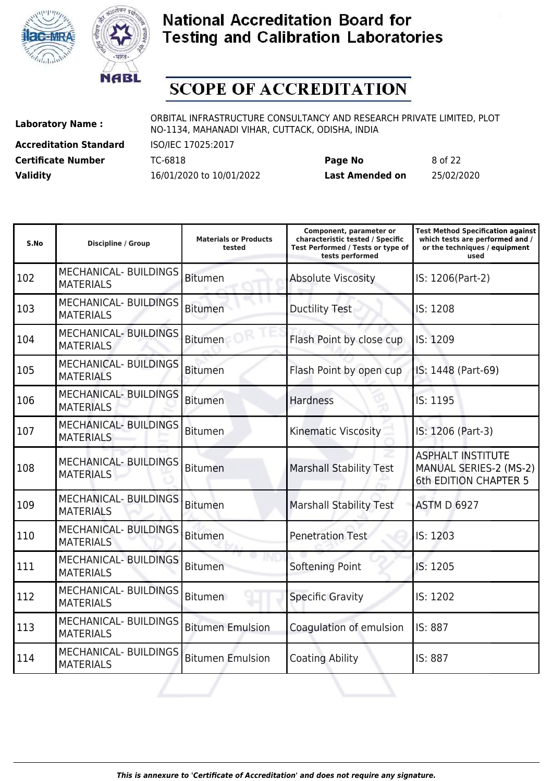



# **SCOPE OF ACCREDITATION**

**Accreditation Standard** ISO/IEC 17025:2017

**Laboratory Name :** ORBITAL INFRASTRUCTURE CONSULTANCY AND RESEARCH PRIVATE LIMITED, PLOT NO-1134, MAHANADI VIHAR, CUTTACK, ODISHA, INDIA

**Certificate Number** TC-6818 **Page No** 8 of 22 **Validity** 16/01/2020 to 10/01/2022 **Last Amended on** 25/02/2020

| S.No | <b>Discipline / Group</b>                        | <b>Materials or Products</b><br>tested | Component, parameter or<br>characteristic tested / Specific<br>Test Performed / Tests or type of<br>tests performed | <b>Test Method Specification against</b><br>which tests are performed and /<br>or the techniques / equipment<br>used |
|------|--------------------------------------------------|----------------------------------------|---------------------------------------------------------------------------------------------------------------------|----------------------------------------------------------------------------------------------------------------------|
| 102  | MECHANICAL- BUILDINGS<br><b>MATERIALS</b>        | <b>Bitumen</b>                         | <b>Absolute Viscosity</b>                                                                                           | IS: 1206(Part-2)                                                                                                     |
| 103  | <b>MECHANICAL- BUILDINGS</b><br><b>MATERIALS</b> | <b>Bitumen</b>                         | <b>Ductility Test</b>                                                                                               | IS: 1208                                                                                                             |
| 104  | <b>MECHANICAL- BUILDINGS</b><br><b>MATERIALS</b> | <b>Bitumen</b>                         | Flash Point by close cup                                                                                            | IS: 1209                                                                                                             |
| 105  | <b>MECHANICAL- BUILDINGS</b><br><b>MATERIALS</b> | <b>Bitumen</b>                         | Flash Point by open cup                                                                                             | IS: 1448 (Part-69)                                                                                                   |
| 106  | <b>MECHANICAL- BUILDINGS</b><br><b>MATERIALS</b> | <b>Bitumen</b>                         | <b>Hardness</b>                                                                                                     | IS: 1195                                                                                                             |
| 107  | <b>MECHANICAL- BUILDINGS</b><br><b>MATERIALS</b> | <b>Bitumen</b>                         | <b>Kinematic Viscosity</b>                                                                                          | IS: 1206 (Part-3)                                                                                                    |
| 108  | <b>MECHANICAL- BUILDINGS</b><br><b>MATERIALS</b> | <b>Bitumen</b>                         | <b>Marshall Stability Test</b>                                                                                      | <b>ASPHALT INSTITUTE</b><br>MANUAL SERIES-2 (MS-2)<br><b>6th EDITION CHAPTER 5</b>                                   |
| 109  | <b>MECHANICAL- BUILDINGS</b><br><b>MATERIALS</b> | <b>Bitumen</b>                         | <b>Marshall Stability Test</b>                                                                                      | <b>ASTM D 6927</b>                                                                                                   |
| 110  | <b>MECHANICAL- BUILDINGS</b><br><b>MATERIALS</b> | <b>Bitumen</b>                         | <b>Penetration Test</b>                                                                                             | IS: 1203                                                                                                             |
| 111  | <b>MECHANICAL- BUILDINGS</b><br><b>MATERIALS</b> | <b>Bitumen</b>                         | Softening Point                                                                                                     | IS: 1205                                                                                                             |
| 112  | <b>MECHANICAL- BUILDINGS</b><br><b>MATERIALS</b> | <b>Bitumen</b>                         | <b>Specific Gravity</b>                                                                                             | IS: 1202                                                                                                             |
| 113  | <b>MECHANICAL- BUILDINGS</b><br><b>MATERIALS</b> | <b>Bitumen Emulsion</b>                | Coagulation of emulsion                                                                                             | IS: 887                                                                                                              |
| 114  | <b>MECHANICAL- BUILDINGS</b><br><b>MATERIALS</b> | <b>Bitumen Emulsion</b>                | <b>Coating Ability</b>                                                                                              | IS: 887                                                                                                              |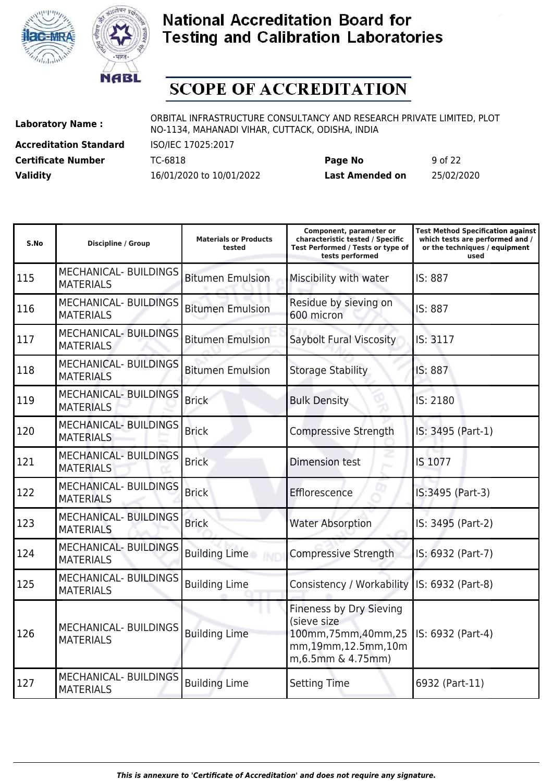



# **SCOPE OF ACCREDITATION**

**Accreditation Standard** ISO/IEC 17025:2017

**Laboratory Name :** ORBITAL INFRASTRUCTURE CONSULTANCY AND RESEARCH PRIVATE LIMITED, PLOT NO-1134, MAHANADI VIHAR, CUTTACK, ODISHA, INDIA

**Certificate Number** TC-6818 **Page No** 9 of 22 **Validity** 16/01/2020 to 10/01/2022 **Last Amended on** 25/02/2020

| S.No | <b>Discipline / Group</b>                        | <b>Materials or Products</b><br>tested | Component, parameter or<br>characteristic tested / Specific<br>Test Performed / Tests or type of<br>tests performed | <b>Test Method Specification against</b><br>which tests are performed and /<br>or the techniques / equipment<br>used |
|------|--------------------------------------------------|----------------------------------------|---------------------------------------------------------------------------------------------------------------------|----------------------------------------------------------------------------------------------------------------------|
| 115  | <b>MECHANICAL- BUILDINGS</b><br><b>MATERIALS</b> | <b>Bitumen Emulsion</b>                | Miscibility with water                                                                                              | IS: 887                                                                                                              |
| 116  | <b>MECHANICAL- BUILDINGS</b><br><b>MATERIALS</b> | <b>Bitumen Emulsion</b>                | Residue by sieving on<br>600 micron                                                                                 | IS: 887                                                                                                              |
| 117  | <b>MECHANICAL- BUILDINGS</b><br><b>MATERIALS</b> | <b>Bitumen Emulsion</b>                | Saybolt Fural Viscosity                                                                                             | IS: 3117                                                                                                             |
| 118  | <b>MECHANICAL- BUILDINGS</b><br><b>MATERIALS</b> | <b>Bitumen Emulsion</b>                | <b>Storage Stability</b>                                                                                            | IS: 887                                                                                                              |
| 119  | <b>MECHANICAL- BUILDINGS</b><br><b>MATERIALS</b> | <b>Brick</b>                           | <b>Bulk Density</b>                                                                                                 | IS: 2180                                                                                                             |
| 120  | <b>MECHANICAL- BUILDINGS</b><br><b>MATERIALS</b> | <b>Brick</b>                           | Compressive Strength                                                                                                | IS: 3495 (Part-1)                                                                                                    |
| 121  | <b>MECHANICAL- BUILDINGS</b><br><b>MATERIALS</b> | <b>Brick</b>                           | <b>Dimension test</b>                                                                                               | IS 1077                                                                                                              |
| 122  | <b>MECHANICAL- BUILDINGS</b><br><b>MATERIALS</b> | <b>Brick</b>                           | Efflorescence                                                                                                       | IS:3495 (Part-3)                                                                                                     |
| 123  | <b>MECHANICAL- BUILDINGS</b><br><b>MATERIALS</b> | <b>Brick</b>                           | <b>Water Absorption</b>                                                                                             | IS: 3495 (Part-2)                                                                                                    |
| 124  | <b>MECHANICAL- BUILDINGS</b><br><b>MATERIALS</b> | <b>Building Lime</b>                   | Compressive Strength                                                                                                | IS: 6932 (Part-7)                                                                                                    |
| 125  | <b>MECHANICAL- BUILDINGS</b><br><b>MATERIALS</b> | <b>Building Lime</b>                   | Consistency / Workability                                                                                           | IS: 6932 (Part-8)                                                                                                    |
| 126  | <b>MECHANICAL- BUILDINGS</b><br><b>MATERIALS</b> | <b>Building Lime</b>                   | Fineness by Dry Sieving<br>(sieve size<br>100mm, 75mm, 40mm, 25<br>mm,19mm,12.5mm,10m<br>m, 6.5mm & 4.75mm)         | IS: 6932 (Part-4)                                                                                                    |
| 127  | <b>MECHANICAL- BUILDINGS</b><br><b>MATERIALS</b> | <b>Building Lime</b>                   | <b>Setting Time</b>                                                                                                 | 6932 (Part-11)                                                                                                       |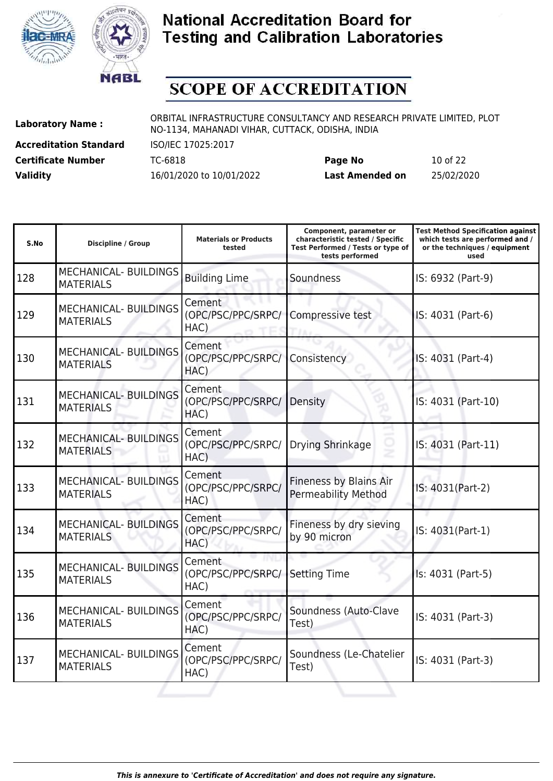



# **SCOPE OF ACCREDITATION**

**Accreditation Standard** ISO/IEC 17025:2017

**Laboratory Name :** ORBITAL INFRASTRUCTURE CONSULTANCY AND RESEARCH PRIVATE LIMITED, PLOT NO-1134, MAHANADI VIHAR, CUTTACK, ODISHA, INDIA

**Certificate Number** TC-6818 **Page No** 10 of 22 **Validity** 16/01/2020 to 10/01/2022 **Last Amended on** 25/02/2020

| S.No | <b>Discipline / Group</b>                        | <b>Materials or Products</b><br>tested | Component, parameter or<br>characteristic tested / Specific<br>Test Performed / Tests or type of<br>tests performed | <b>Test Method Specification against</b><br>which tests are performed and /<br>or the techniques / equipment<br>used |
|------|--------------------------------------------------|----------------------------------------|---------------------------------------------------------------------------------------------------------------------|----------------------------------------------------------------------------------------------------------------------|
| 128  | <b>MECHANICAL- BUILDINGS</b><br><b>MATERIALS</b> | <b>Building Lime</b>                   | Soundness                                                                                                           | IS: 6932 (Part-9)                                                                                                    |
| 129  | MECHANICAL- BUILDINGS<br><b>MATERIALS</b>        | Cement<br>(OPC/PSC/PPC/SRPC/<br>HAC)   | Compressive test                                                                                                    | IS: 4031 (Part-6)                                                                                                    |
| 130  | <b>MECHANICAL- BUILDINGS</b><br><b>MATERIALS</b> | Cement<br>(OPC/PSC/PPC/SRPC/<br>HAC)   | Consistency                                                                                                         | IS: 4031 (Part-4)                                                                                                    |
| 131  | MECHANICAL- BUILDINGS<br><b>MATERIALS</b>        | Cement<br>(OPC/PSC/PPC/SRPC/<br>HAC)   | Density                                                                                                             | IS: 4031 (Part-10)                                                                                                   |
| 132  | <b>MECHANICAL- BUILDINGS</b><br><b>MATERIALS</b> | Cement<br>(OPC/PSC/PPC/SRPC/<br>HAC)   | Drying Shrinkage                                                                                                    | IS: 4031 (Part-11)                                                                                                   |
| 133  | MECHANICAL- BUILDINGS<br><b>MATERIALS</b>        | Cement<br>(OPC/PSC/PPC/SRPC/<br>HAC)   | Fineness by Blains Air<br><b>Permeability Method</b>                                                                | IS: 4031(Part-2)                                                                                                     |
| 134  | <b>MECHANICAL- BUILDINGS</b><br><b>MATERIALS</b> | Cement<br>(OPC/PSC/PPC/SRPC/<br>HAC)   | Fineness by dry sieving<br>by 90 micron                                                                             | IS: 4031(Part-1)                                                                                                     |
| 135  | MECHANICAL- BUILDINGS<br><b>MATERIALS</b>        | Cement<br>(OPC/PSC/PPC/SRPC/<br>HAC)   | <b>Setting Time</b>                                                                                                 | Is: 4031 (Part-5)                                                                                                    |
| 136  | MECHANICAL- BUILDINGS<br><b>MATERIALS</b>        | Cement<br>(OPC/PSC/PPC/SRPC/<br>HAC)   | Soundness (Auto-Clave<br>Test)                                                                                      | IS: 4031 (Part-3)                                                                                                    |
| 137  | MECHANICAL- BUILDINGS<br><b>MATERIALS</b>        | Cement<br>(OPC/PSC/PPC/SRPC/<br>HAC)   | Soundness (Le-Chatelier<br>Test)                                                                                    | IS: 4031 (Part-3)                                                                                                    |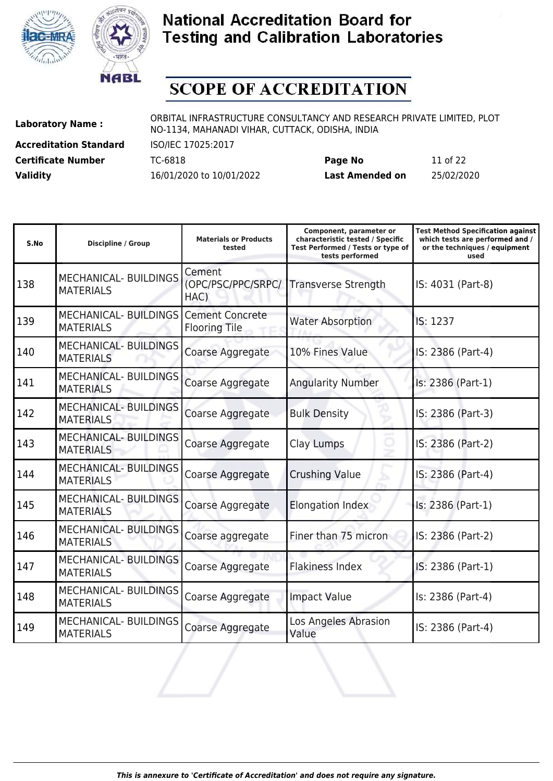



# **SCOPE OF ACCREDITATION**

**Accreditation Standard** ISO/IEC 17025:2017

**Laboratory Name :** ORBITAL INFRASTRUCTURE CONSULTANCY AND RESEARCH PRIVATE LIMITED, PLOT NO-1134, MAHANADI VIHAR, CUTTACK, ODISHA, INDIA

**Certificate Number** TC-6818 **Page No** 11 of 22 **Validity** 16/01/2020 to 10/01/2022 **Last Amended on** 25/02/2020

| S.No | <b>Discipline / Group</b>                        | <b>Materials or Products</b><br>tested         | Component, parameter or<br>characteristic tested / Specific<br>Test Performed / Tests or type of<br>tests performed | <b>Test Method Specification against</b><br>which tests are performed and /<br>or the techniques / equipment<br>used |
|------|--------------------------------------------------|------------------------------------------------|---------------------------------------------------------------------------------------------------------------------|----------------------------------------------------------------------------------------------------------------------|
| 138  | <b>MECHANICAL- BUILDINGS</b><br><b>MATERIALS</b> | Cement<br>(OPC/PSC/PPC/SRPC/<br>HAC)           | Transverse Strength                                                                                                 | IS: 4031 (Part-8)                                                                                                    |
| 139  | <b>MECHANICAL- BUILDINGS</b><br><b>MATERIALS</b> | <b>Cement Concrete</b><br><b>Flooring Tile</b> | <b>Water Absorption</b>                                                                                             | IS: 1237                                                                                                             |
| 140  | <b>MECHANICAL- BUILDINGS</b><br><b>MATERIALS</b> | Coarse Aggregate                               | 10% Fines Value                                                                                                     | IS: 2386 (Part-4)                                                                                                    |
| 141  | <b>MECHANICAL- BUILDINGS</b><br><b>MATERIALS</b> | Coarse Aggregate                               | <b>Angularity Number</b>                                                                                            | Is: 2386 (Part-1)                                                                                                    |
| 142  | <b>MECHANICAL- BUILDINGS</b><br><b>MATERIALS</b> | Coarse Aggregate                               | <b>Bulk Density</b>                                                                                                 | IS: 2386 (Part-3)                                                                                                    |
| 143  | <b>MECHANICAL- BUILDINGS</b><br><b>MATERIALS</b> | Coarse Aggregate                               | Clay Lumps                                                                                                          | IS: 2386 (Part-2)                                                                                                    |
| 144  | <b>MECHANICAL- BUILDINGS</b><br><b>MATERIALS</b> | Coarse Aggregate                               | <b>Crushing Value</b>                                                                                               | IS: 2386 (Part-4)                                                                                                    |
| 145  | <b>MECHANICAL- BUILDINGS</b><br><b>MATERIALS</b> | Coarse Aggregate                               | Elongation Index                                                                                                    | Is: 2386 (Part-1)                                                                                                    |
| 146  | <b>MECHANICAL- BUILDINGS</b><br><b>MATERIALS</b> | Coarse aggregate                               | Finer than 75 micron                                                                                                | IS: 2386 (Part-2)                                                                                                    |
| 147  | <b>MECHANICAL- BUILDINGS</b><br><b>MATERIALS</b> | Coarse Aggregate                               | <b>Flakiness Index</b>                                                                                              | IS: 2386 (Part-1)                                                                                                    |
| 148  | <b>MECHANICAL- BUILDINGS</b><br><b>MATERIALS</b> | Coarse Aggregate                               | <b>Impact Value</b>                                                                                                 | Is: 2386 (Part-4)                                                                                                    |
| 149  | <b>MECHANICAL- BUILDINGS</b><br><b>MATERIALS</b> | Coarse Aggregate                               | Los Angeles Abrasion<br>Value                                                                                       | IS: 2386 (Part-4)                                                                                                    |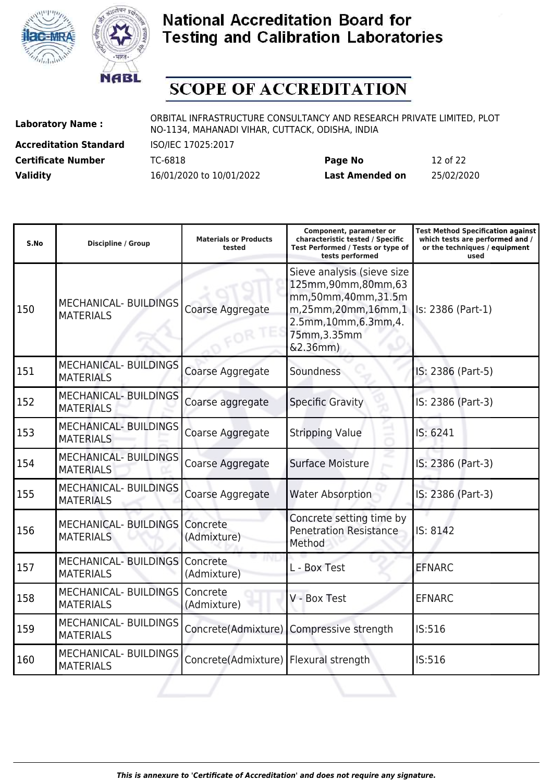



# **SCOPE OF ACCREDITATION**

**Accreditation Standard** ISO/IEC 17025:2017

**Laboratory Name :** ORBITAL INFRASTRUCTURE CONSULTANCY AND RESEARCH PRIVATE LIMITED, PLOT NO-1134, MAHANADI VIHAR, CUTTACK, ODISHA, INDIA

**Certificate Number** TC-6818 **Page No** 12 of 22 **Validity** 16/01/2020 to 10/01/2022 **Last Amended on** 25/02/2020

| S.No | <b>Discipline / Group</b>                        | <b>Materials or Products</b><br>tested | Component, parameter or<br>characteristic tested / Specific<br>Test Performed / Tests or type of<br>tests performed                             | <b>Test Method Specification against</b><br>which tests are performed and /<br>or the techniques / equipment<br>used |
|------|--------------------------------------------------|----------------------------------------|-------------------------------------------------------------------------------------------------------------------------------------------------|----------------------------------------------------------------------------------------------------------------------|
| 150  | <b>MECHANICAL- BUILDINGS</b><br><b>MATERIALS</b> | Coarse Aggregate                       | Sieve analysis (sieve size<br>125mm,90mm,80mm,63<br>mm,50mm,40mm,31.5m<br>m,25mm,20mm,16mm,1<br>2.5mm,10mm,6.3mm,4.<br>75mm, 3.35mm<br>&2.36mm) | Is: 2386 (Part-1)                                                                                                    |
| 151  | <b>MECHANICAL- BUILDINGS</b><br><b>MATERIALS</b> | Coarse Aggregate                       | Soundness                                                                                                                                       | IS: 2386 (Part-5)                                                                                                    |
| 152  | <b>MECHANICAL- BUILDINGS</b><br><b>MATERIALS</b> | Coarse aggregate                       | <b>Specific Gravity</b>                                                                                                                         | IS: 2386 (Part-3)                                                                                                    |
| 153  | <b>MECHANICAL- BUILDINGS</b><br><b>MATERIALS</b> | Coarse Aggregate                       | <b>Stripping Value</b>                                                                                                                          | IS: 6241                                                                                                             |
| 154  | <b>MECHANICAL- BUILDINGS</b><br><b>MATERIALS</b> | Coarse Aggregate                       | <b>Surface Moisture</b>                                                                                                                         | IS: 2386 (Part-3)                                                                                                    |
| 155  | <b>MECHANICAL- BUILDINGS</b><br><b>MATERIALS</b> | Coarse Aggregate                       | <b>Water Absorption</b>                                                                                                                         | IS: 2386 (Part-3)                                                                                                    |
| 156  | <b>MECHANICAL- BUILDINGS</b><br><b>MATERIALS</b> | Concrete<br>(Admixture)                | Concrete setting time by<br><b>Penetration Resistance</b><br>Method                                                                             | IS: 8142                                                                                                             |
| 157  | <b>MECHANICAL-BUILDINGS</b><br><b>MATERIALS</b>  | Concrete<br>(Admixture)                | L - Box Test                                                                                                                                    | <b>EFNARC</b>                                                                                                        |
| 158  | MECHANICAL-BUILDINGS<br><b>MATERIALS</b>         | Concrete<br>(Admixture)                | V - Box Test                                                                                                                                    | <b>EFNARC</b>                                                                                                        |
| 159  | <b>MECHANICAL- BUILDINGS</b><br><b>MATERIALS</b> | Concrete(Admixture)                    | Compressive strength                                                                                                                            | IS:516                                                                                                               |
| 160  | MECHANICAL- BUILDINGS<br><b>MATERIALS</b>        | Concrete(Admixture)                    | Flexural strength                                                                                                                               | IS:516                                                                                                               |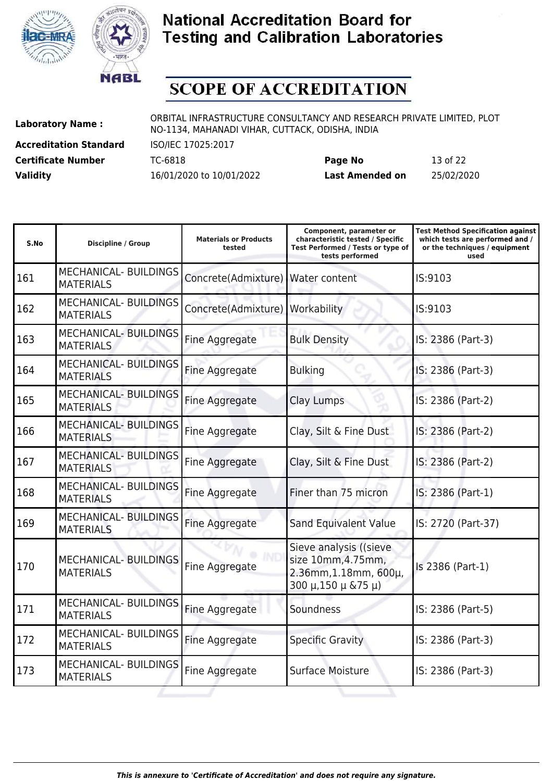



# **SCOPE OF ACCREDITATION**

**Accreditation Standard** ISO/IEC 17025:2017

**Laboratory Name :** ORBITAL INFRASTRUCTURE CONSULTANCY AND RESEARCH PRIVATE LIMITED, PLOT NO-1134, MAHANADI VIHAR, CUTTACK, ODISHA, INDIA

**Certificate Number** TC-6818 **Page No** 13 of 22 **Validity** 16/01/2020 to 10/01/2022 **Last Amended on** 25/02/2020

| S.No | <b>Discipline / Group</b>                        | <b>Materials or Products</b><br>tested | Component, parameter or<br>characteristic tested / Specific<br>Test Performed / Tests or type of<br>tests performed | <b>Test Method Specification against</b><br>which tests are performed and /<br>or the techniques / equipment<br>used |
|------|--------------------------------------------------|----------------------------------------|---------------------------------------------------------------------------------------------------------------------|----------------------------------------------------------------------------------------------------------------------|
| 161  | <b>MECHANICAL- BUILDINGS</b><br><b>MATERIALS</b> | Concrete(Admixture)                    | Water content                                                                                                       | IS:9103                                                                                                              |
| 162  | MECHANICAL- BUILDINGS<br><b>MATERIALS</b>        | Concrete(Admixture)                    | Workability                                                                                                         | IS:9103                                                                                                              |
| 163  | <b>MECHANICAL- BUILDINGS</b><br><b>MATERIALS</b> | Fine Aggregate                         | <b>Bulk Density</b>                                                                                                 | IS: 2386 (Part-3)                                                                                                    |
| 164  | <b>MECHANICAL- BUILDINGS</b><br><b>MATERIALS</b> | Fine Aggregate                         | <b>Bulking</b>                                                                                                      | IS: 2386 (Part-3)                                                                                                    |
| 165  | <b>MECHANICAL- BUILDINGS</b><br><b>MATERIALS</b> | Fine Aggregate                         | Clay Lumps                                                                                                          | IS: 2386 (Part-2)                                                                                                    |
| 166  | <b>MECHANICAL- BUILDINGS</b><br><b>MATERIALS</b> | Fine Aggregate                         | Clay, Silt & Fine Dust                                                                                              | IS: 2386 (Part-2)                                                                                                    |
| 167  | <b>MECHANICAL- BUILDINGS</b><br><b>MATERIALS</b> | Fine Aggregate                         | Clay, Silt & Fine Dust                                                                                              | IS: 2386 (Part-2)                                                                                                    |
| 168  | <b>MECHANICAL- BUILDINGS</b><br><b>MATERIALS</b> | Fine Aggregate                         | Finer than 75 micron                                                                                                | IS: 2386 (Part-1)                                                                                                    |
| 169  | <b>MECHANICAL- BUILDINGS</b><br><b>MATERIALS</b> | Fine Aggregate                         | Sand Equivalent Value                                                                                               | IS: 2720 (Part-37)                                                                                                   |
| 170  | MECHANICAL- BUILDINGS<br><b>MATERIALS</b>        | Fine Aggregate                         | Sieve analysis ((sieve<br>size 10mm, 4.75mm,<br>2.36mm, 1.18mm, 600µ,<br>$300 \mu$ , 150 $\mu$ & 75 $\mu$ )         | Is 2386 (Part-1)                                                                                                     |
| 171  | <b>MECHANICAL- BUILDINGS</b><br><b>MATERIALS</b> | Fine Aggregate                         | Soundness                                                                                                           | IS: 2386 (Part-5)                                                                                                    |
| 172  | <b>MECHANICAL- BUILDINGS</b><br><b>MATERIALS</b> | Fine Aggregate                         | <b>Specific Gravity</b>                                                                                             | IS: 2386 (Part-3)                                                                                                    |
| 173  | MECHANICAL- BUILDINGS<br><b>MATERIALS</b>        | Fine Aggregate                         | <b>Surface Moisture</b>                                                                                             | IS: 2386 (Part-3)                                                                                                    |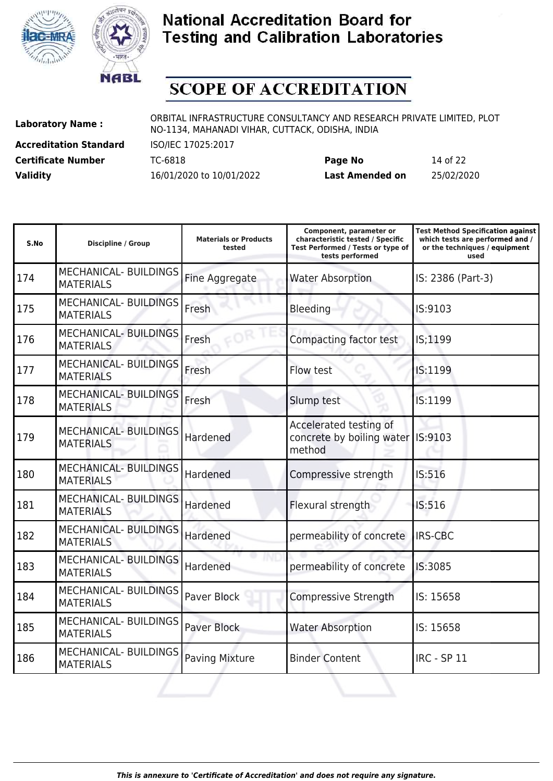



# **SCOPE OF ACCREDITATION**

**Accreditation Standard** ISO/IEC 17025:2017

**Laboratory Name :** ORBITAL INFRASTRUCTURE CONSULTANCY AND RESEARCH PRIVATE LIMITED, PLOT NO-1134, MAHANADI VIHAR, CUTTACK, ODISHA, INDIA

**Certificate Number** TC-6818 **Page No** 14 of 22 **Validity** 16/01/2020 to 10/01/2022 **Last Amended on** 25/02/2020

| S.No | <b>Discipline / Group</b>                        | <b>Materials or Products</b><br>tested | Component, parameter or<br>characteristic tested / Specific<br>Test Performed / Tests or type of<br>tests performed | <b>Test Method Specification against</b><br>which tests are performed and /<br>or the techniques / equipment<br>used |
|------|--------------------------------------------------|----------------------------------------|---------------------------------------------------------------------------------------------------------------------|----------------------------------------------------------------------------------------------------------------------|
| 174  | <b>MECHANICAL- BUILDINGS</b><br><b>MATERIALS</b> | Fine Aggregate                         | <b>Water Absorption</b>                                                                                             | IS: 2386 (Part-3)                                                                                                    |
| 175  | <b>MECHANICAL- BUILDINGS</b><br><b>MATERIALS</b> | Fresh                                  | <b>Bleeding</b>                                                                                                     | IS:9103                                                                                                              |
| 176  | <b>MECHANICAL- BUILDINGS</b><br><b>MATERIALS</b> | Fresh                                  | Compacting factor test                                                                                              | IS;1199                                                                                                              |
| 177  | <b>MECHANICAL- BUILDINGS</b><br><b>MATERIALS</b> | Fresh                                  | Flow test                                                                                                           | IS:1199                                                                                                              |
| 178  | <b>MECHANICAL- BUILDINGS</b><br><b>MATERIALS</b> | Fresh                                  | Slump test                                                                                                          | IS:1199                                                                                                              |
| 179  | <b>MECHANICAL- BUILDINGS</b><br><b>MATERIALS</b> | Hardened                               | Accelerated testing of<br>concrete by boiling water<br>method                                                       | IS:9103                                                                                                              |
| 180  | <b>MECHANICAL- BUILDINGS</b><br><b>MATERIALS</b> | Hardened                               | Compressive strength                                                                                                | IS:516                                                                                                               |
| 181  | <b>MECHANICAL- BUILDINGS</b><br><b>MATERIALS</b> | Hardened                               | Flexural strength                                                                                                   | IS:516                                                                                                               |
| 182  | <b>MECHANICAL- BUILDINGS</b><br><b>MATERIALS</b> | Hardened                               | permeability of concrete                                                                                            | <b>IRS-CBC</b>                                                                                                       |
| 183  | <b>MECHANICAL- BUILDINGS</b><br><b>MATERIALS</b> | Hardened                               | permeability of concrete                                                                                            | IS:3085                                                                                                              |
| 184  | <b>MECHANICAL- BUILDINGS</b><br><b>MATERIALS</b> | Paver Block                            | Compressive Strength                                                                                                | IS: 15658                                                                                                            |
| 185  | <b>MECHANICAL- BUILDINGS</b><br><b>MATERIALS</b> | <b>Paver Block</b>                     | <b>Water Absorption</b>                                                                                             | IS: 15658                                                                                                            |
| 186  | <b>MECHANICAL- BUILDINGS</b><br><b>MATERIALS</b> | <b>Paving Mixture</b>                  | <b>Binder Content</b>                                                                                               | <b>IRC - SP 11</b>                                                                                                   |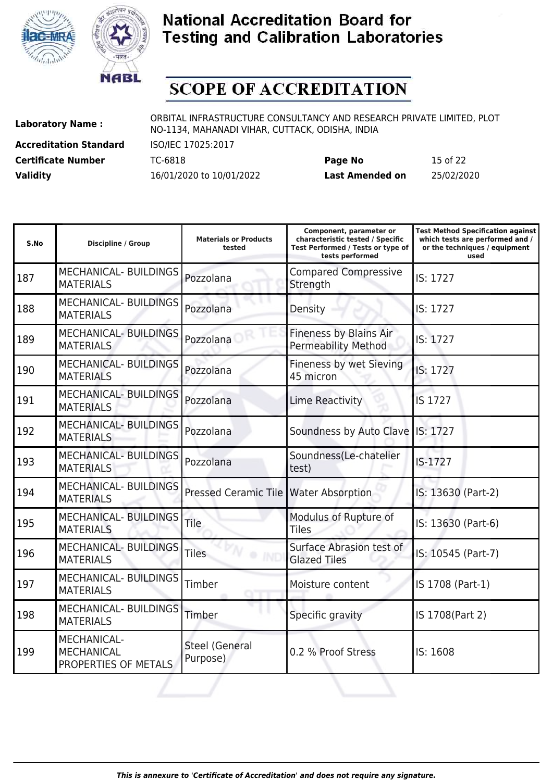



# **SCOPE OF ACCREDITATION**

**Accreditation Standard** ISO/IEC 17025:2017

**Laboratory Name :** ORBITAL INFRASTRUCTURE CONSULTANCY AND RESEARCH PRIVATE LIMITED, PLOT NO-1134, MAHANADI VIHAR, CUTTACK, ODISHA, INDIA

**Certificate Number** TC-6818 **Page No** 15 of 22 **Validity** 16/01/2020 to 10/01/2022 **Last Amended on** 25/02/2020

| S.No | <b>Discipline / Group</b>                                | <b>Materials or Products</b><br>tested  | Component, parameter or<br>characteristic tested / Specific<br>Test Performed / Tests or type of<br>tests performed | <b>Test Method Specification against</b><br>which tests are performed and /<br>or the techniques / equipment<br>used |
|------|----------------------------------------------------------|-----------------------------------------|---------------------------------------------------------------------------------------------------------------------|----------------------------------------------------------------------------------------------------------------------|
| 187  | <b>MECHANICAL- BUILDINGS</b><br><b>MATERIALS</b>         | Pozzolana                               | <b>Compared Compressive</b><br>Strength                                                                             | IS: 1727                                                                                                             |
| 188  | <b>MECHANICAL- BUILDINGS</b><br><b>MATERIALS</b>         | Pozzolana                               | Density                                                                                                             | IS: 1727                                                                                                             |
| 189  | <b>MECHANICAL- BUILDINGS</b><br><b>MATERIALS</b>         | Pozzolana                               | <b>Fineness by Blains Air</b><br><b>Permeability Method</b>                                                         | IS: 1727                                                                                                             |
| 190  | <b>MECHANICAL- BUILDINGS</b><br><b>MATERIALS</b>         | Pozzolana                               | Fineness by wet Sieving<br>45 micron                                                                                | IS: 1727                                                                                                             |
| 191  | <b>MECHANICAL- BUILDINGS</b><br><b>MATERIALS</b>         | Pozzolana                               | <b>Lime Reactivity</b>                                                                                              | IS 1727                                                                                                              |
| 192  | <b>MECHANICAL- BUILDINGS</b><br><b>MATERIALS</b>         | Pozzolana                               | Soundness by Auto Clave                                                                                             | IS: 1727                                                                                                             |
| 193  | <b>MECHANICAL- BUILDINGS</b><br><b>MATERIALS</b>         | Pozzolana                               | Soundness(Le-chatelier<br>test)                                                                                     | IS-1727                                                                                                              |
| 194  | <b>MECHANICAL- BUILDINGS</b><br><b>MATERIALS</b>         | Pressed Ceramic Tile   Water Absorption |                                                                                                                     | IS: 13630 (Part-2)                                                                                                   |
| 195  | <b>MECHANICAL- BUILDINGS</b><br><b>MATERIALS</b>         | Tile                                    | Modulus of Rupture of<br><b>Tiles</b>                                                                               | IS: 13630 (Part-6)                                                                                                   |
| 196  | <b>MECHANICAL- BUILDINGS</b><br><b>MATERIALS</b>         | <b>Tiles</b>                            | Surface Abrasion test of<br><b>Glazed Tiles</b>                                                                     | IS: 10545 (Part-7)                                                                                                   |
| 197  | <b>MECHANICAL- BUILDINGS</b><br><b>MATERIALS</b>         | Timber                                  | Moisture content                                                                                                    | IS 1708 (Part-1)                                                                                                     |
| 198  | MECHANICAL- BUILDINGS<br><b>MATERIALS</b>                | Timber                                  | Specific gravity                                                                                                    | IS 1708(Part 2)                                                                                                      |
| 199  | MECHANICAL-<br><b>MECHANICAL</b><br>PROPERTIES OF METALS | <b>Steel (General</b><br>Purpose)       | 0.2 % Proof Stress                                                                                                  | IS: 1608                                                                                                             |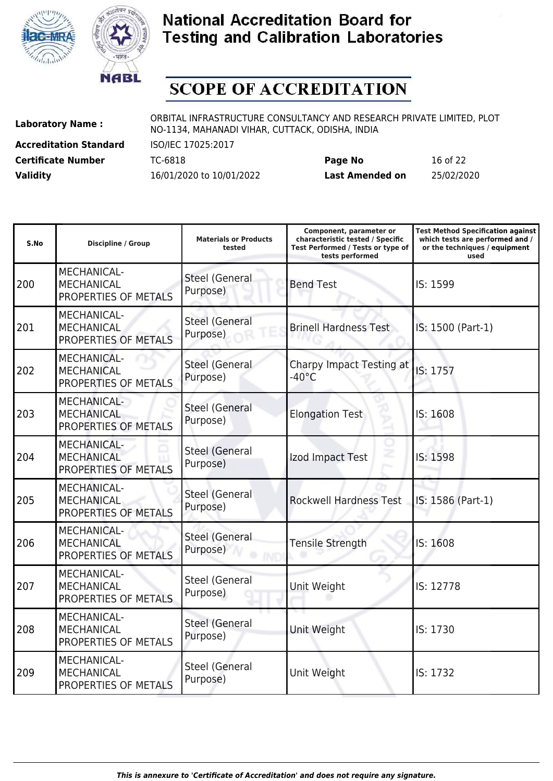



# **SCOPE OF ACCREDITATION**

**Accreditation Standard** ISO/IEC 17025:2017

**Laboratory Name :** ORBITAL INFRASTRUCTURE CONSULTANCY AND RESEARCH PRIVATE LIMITED, PLOT NO-1134, MAHANADI VIHAR, CUTTACK, ODISHA, INDIA

**Certificate Number** TC-6818 **Page No** 16 of 22 **Validity** 16/01/2020 to 10/01/2022 **Last Amended on** 25/02/2020

| S.No | <b>Discipline / Group</b>                                       | <b>Materials or Products</b><br>tested | Component, parameter or<br>characteristic tested / Specific<br>Test Performed / Tests or type of<br>tests performed | <b>Test Method Specification against</b><br>which tests are performed and /<br>or the techniques / equipment<br>used |
|------|-----------------------------------------------------------------|----------------------------------------|---------------------------------------------------------------------------------------------------------------------|----------------------------------------------------------------------------------------------------------------------|
| 200  | MECHANICAL-<br><b>MECHANICAL</b><br>PROPERTIES OF METALS        | <b>Steel (General</b><br>Purpose)      | <b>Bend Test</b>                                                                                                    | IS: 1599                                                                                                             |
| 201  | MECHANICAL-<br><b>MECHANICAL</b><br>PROPERTIES OF METALS        | <b>Steel (General</b><br>Purpose)      | <b>Brinell Hardness Test</b>                                                                                        | IS: 1500 (Part-1)                                                                                                    |
| 202  | <b>MECHANICAL-</b><br><b>MECHANICAL</b><br>PROPERTIES OF METALS | <b>Steel (General</b><br>Purpose)      | Charpy Impact Testing at<br>$-40^{\circ}$ C                                                                         | IS: 1757                                                                                                             |
| 203  | <b>MECHANICAL-</b><br><b>MECHANICAL</b><br>PROPERTIES OF METALS | <b>Steel (General</b><br>Purpose)      | <b>Elongation Test</b>                                                                                              | IS: 1608                                                                                                             |
| 204  | <b>MECHANICAL-</b><br><b>MECHANICAL</b><br>PROPERTIES OF METALS | <b>Steel (General</b><br>Purpose)      | Izod Impact Test                                                                                                    | IS: 1598                                                                                                             |
| 205  | <b>MECHANICAL-</b><br><b>MECHANICAL</b><br>PROPERTIES OF METALS | <b>Steel (General</b><br>Purpose)      | <b>Rockwell Hardness Test</b>                                                                                       | IS: 1586 (Part-1)                                                                                                    |
| 206  | MECHANICAL-<br><b>MECHANICAL</b><br>PROPERTIES OF METALS        | <b>Steel (General</b><br>Purpose)      | <b>Tensile Strength</b>                                                                                             | IS: 1608                                                                                                             |
| 207  | <b>MECHANICAL-</b><br><b>MECHANICAL</b><br>PROPERTIES OF METALS | Steel (General<br>Purpose)             | Unit Weight                                                                                                         | IS: 12778                                                                                                            |
| 208  | MECHANICAL-<br><b>MECHANICAL</b><br>PROPERTIES OF METALS        | <b>Steel (General</b><br>Purpose)      | Unit Weight                                                                                                         | IS: 1730                                                                                                             |
| 209  | MECHANICAL-<br><b>MECHANICAL</b><br>PROPERTIES OF METALS        | <b>Steel (General</b><br>Purpose)      | Unit Weight                                                                                                         | IS: 1732                                                                                                             |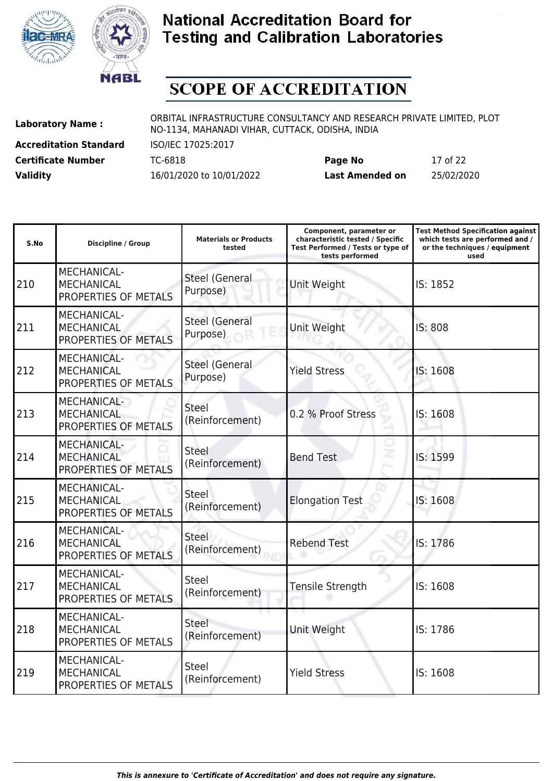



# **SCOPE OF ACCREDITATION**

**Accreditation Standard** ISO/IEC 17025:2017

**Laboratory Name :** ORBITAL INFRASTRUCTURE CONSULTANCY AND RESEARCH PRIVATE LIMITED, PLOT NO-1134, MAHANADI VIHAR, CUTTACK, ODISHA, INDIA

**Certificate Number** TC-6818 **Page No** 17 of 22 **Validity** 16/01/2020 to 10/01/2022 **Last Amended on** 25/02/2020

| S.No | <b>Discipline / Group</b>                                       | <b>Materials or Products</b><br>tested | Component, parameter or<br>characteristic tested / Specific<br>Test Performed / Tests or type of<br>tests performed | <b>Test Method Specification against</b><br>which tests are performed and /<br>or the techniques / equipment<br>used |
|------|-----------------------------------------------------------------|----------------------------------------|---------------------------------------------------------------------------------------------------------------------|----------------------------------------------------------------------------------------------------------------------|
| 210  | MECHANICAL-<br><b>MECHANICAL</b><br>PROPERTIES OF METALS        | <b>Steel (General</b><br>Purpose)      | Unit Weight                                                                                                         | IS: 1852                                                                                                             |
| 211  | MECHANICAL-<br><b>MECHANICAL</b><br>PROPERTIES OF METALS        | <b>Steel (General</b><br>Purpose)      | Unit Weight                                                                                                         | IS: 808                                                                                                              |
| 212  | MECHANICAL-<br><b>MECHANICAL</b><br>PROPERTIES OF METALS        | <b>Steel (General</b><br>Purpose)      | <b>Yield Stress</b>                                                                                                 | IS: 1608                                                                                                             |
| 213  | <b>MECHANICAL-</b><br><b>MECHANICAL</b><br>PROPERTIES OF METALS | <b>Steel</b><br>(Reinforcement)        | 0.2 % Proof Stress                                                                                                  | IS: 1608                                                                                                             |
| 214  | <b>MECHANICAL-</b><br><b>MECHANICAL</b><br>PROPERTIES OF METALS | <b>Steel</b><br>(Reinforcement)        | <b>Bend Test</b>                                                                                                    | IS: 1599                                                                                                             |
| 215  | <b>MECHANICAL-</b><br><b>MECHANICAL</b><br>PROPERTIES OF METALS | Steel<br>(Reinforcement)               | <b>Elongation Test</b>                                                                                              | IS: 1608                                                                                                             |
| 216  | MECHANICAL-<br><b>MECHANICAL</b><br>PROPERTIES OF METALS        | Steel<br>(Reinforcement)               | <b>Rebend Test</b>                                                                                                  | IS: 1786                                                                                                             |
| 217  | MECHANICAL-<br><b>MECHANICAL</b><br>PROPERTIES OF METALS        | <b>Steel</b><br>(Reinforcement)        | Tensile Strength                                                                                                    | IS: 1608                                                                                                             |
| 218  | MECHANICAL-<br><b>MECHANICAL</b><br>PROPERTIES OF METALS        | <b>Steel</b><br>(Reinforcement)        | Unit Weight                                                                                                         | IS: 1786                                                                                                             |
| 219  | MECHANICAL-<br><b>MECHANICAL</b><br>PROPERTIES OF METALS        | <b>Steel</b><br>(Reinforcement)        | <b>Yield Stress</b>                                                                                                 | IS: 1608                                                                                                             |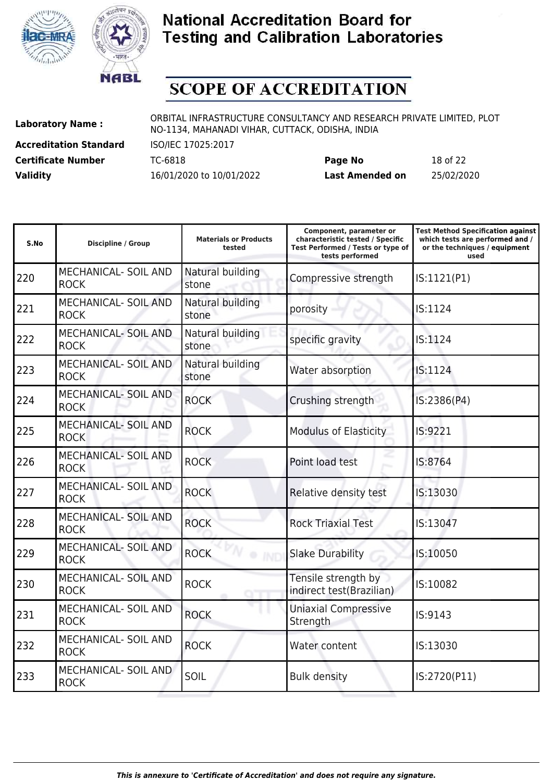



# **SCOPE OF ACCREDITATION**

**Accreditation Standard** ISO/IEC 17025:2017

**Laboratory Name :** ORBITAL INFRASTRUCTURE CONSULTANCY AND RESEARCH PRIVATE LIMITED, PLOT NO-1134, MAHANADI VIHAR, CUTTACK, ODISHA, INDIA

**Certificate Number** TC-6818 **Page No** 18 of 22 **Validity** 16/01/2020 to 10/01/2022 **Last Amended on** 25/02/2020

| S.No | <b>Discipline / Group</b>                  | <b>Materials or Products</b><br>tested | Component, parameter or<br>characteristic tested / Specific<br>Test Performed / Tests or type of<br>tests performed | <b>Test Method Specification against</b><br>which tests are performed and /<br>or the techniques / equipment<br>used |
|------|--------------------------------------------|----------------------------------------|---------------------------------------------------------------------------------------------------------------------|----------------------------------------------------------------------------------------------------------------------|
| 220  | MECHANICAL- SOIL AND<br><b>ROCK</b>        | Natural building<br>stone              | Compressive strength                                                                                                | IS:1121(P1)                                                                                                          |
| 221  | <b>MECHANICAL- SOIL AND</b><br><b>ROCK</b> | Natural building<br>stone              | porosity                                                                                                            | IS:1124                                                                                                              |
| 222  | <b>MECHANICAL- SOIL AND</b><br><b>ROCK</b> | Natural building<br>stone              | specific gravity                                                                                                    | IS:1124                                                                                                              |
| 223  | <b>MECHANICAL- SOIL AND</b><br><b>ROCK</b> | Natural building<br>stone              | Water absorption                                                                                                    | IS:1124                                                                                                              |
| 224  | <b>MECHANICAL- SOIL AND</b><br><b>ROCK</b> | <b>ROCK</b>                            | Crushing strength                                                                                                   | IS:2386(P4)                                                                                                          |
| 225  | <b>MECHANICAL- SOIL AND</b><br><b>ROCK</b> | <b>ROCK</b>                            | <b>Modulus of Elasticity</b>                                                                                        | IS:9221                                                                                                              |
| 226  | <b>MECHANICAL- SOIL AND</b><br><b>ROCK</b> | <b>ROCK</b>                            | Point load test                                                                                                     | IS:8764                                                                                                              |
| 227  | <b>MECHANICAL- SOIL AND</b><br><b>ROCK</b> | <b>ROCK</b>                            | Relative density test                                                                                               | IS:13030                                                                                                             |
| 228  | <b>MECHANICAL- SOIL AND</b><br><b>ROCK</b> | <b>ROCK</b>                            | <b>Rock Triaxial Test</b>                                                                                           | IS:13047                                                                                                             |
| 229  | <b>MECHANICAL- SOIL AND</b><br><b>ROCK</b> | <b>ROCK</b><br>۰                       | <b>Slake Durability</b>                                                                                             | IS:10050                                                                                                             |
| 230  | <b>MECHANICAL- SOIL AND</b><br><b>ROCK</b> | <b>ROCK</b>                            | Tensile strength by<br>indirect test(Brazilian)                                                                     | IS:10082                                                                                                             |
| 231  | <b>MECHANICAL- SOIL AND</b><br><b>ROCK</b> | <b>ROCK</b>                            | <b>Uniaxial Compressive</b><br>Strength                                                                             | IS:9143                                                                                                              |
| 232  | <b>MECHANICAL- SOIL AND</b><br><b>ROCK</b> | <b>ROCK</b>                            | Water content                                                                                                       | IS:13030                                                                                                             |
| 233  | <b>MECHANICAL- SOIL AND</b><br><b>ROCK</b> | SOIL                                   | <b>Bulk density</b>                                                                                                 | IS:2720(P11)                                                                                                         |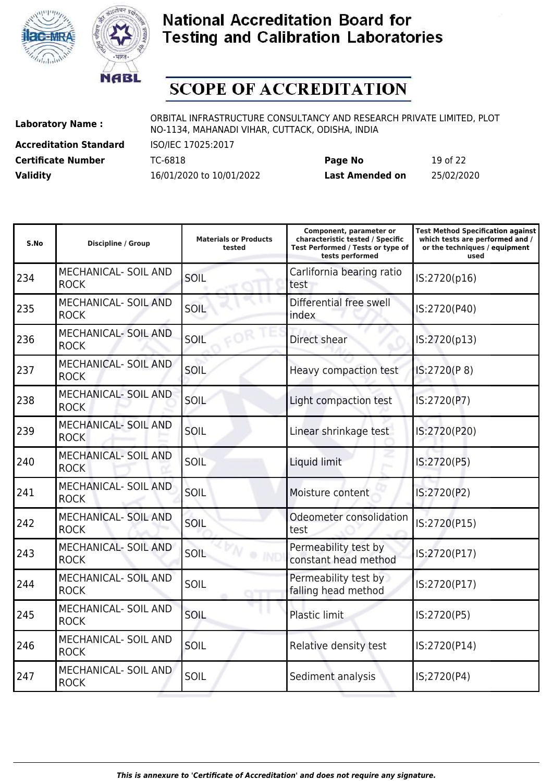



# **SCOPE OF ACCREDITATION**

**Accreditation Standard** ISO/IEC 17025:2017

**Laboratory Name :** ORBITAL INFRASTRUCTURE CONSULTANCY AND RESEARCH PRIVATE LIMITED, PLOT NO-1134, MAHANADI VIHAR, CUTTACK, ODISHA, INDIA

**Certificate Number** TC-6818 **Page No** 19 of 22 **Validity** 16/01/2020 to 10/01/2022 **Last Amended on** 25/02/2020

| S.No | <b>Discipline / Group</b>                  | <b>Materials or Products</b><br>tested | Component, parameter or<br>characteristic tested / Specific<br>Test Performed / Tests or type of<br>tests performed | <b>Test Method Specification against</b><br>which tests are performed and /<br>or the techniques / equipment<br>used |
|------|--------------------------------------------|----------------------------------------|---------------------------------------------------------------------------------------------------------------------|----------------------------------------------------------------------------------------------------------------------|
| 234  | MECHANICAL- SOIL AND<br><b>ROCK</b>        | SOIL                                   | Carlifornia bearing ratio<br>test                                                                                   | IS:2720(p16)                                                                                                         |
| 235  | <b>MECHANICAL- SOIL AND</b><br><b>ROCK</b> | SOIL                                   | Differential free swell<br>index                                                                                    | IS:2720(P40)                                                                                                         |
| 236  | <b>MECHANICAL- SOIL AND</b><br><b>ROCK</b> | SOIL                                   | Direct shear                                                                                                        | IS:2720(p13)                                                                                                         |
| 237  | <b>MECHANICAL- SOIL AND</b><br><b>ROCK</b> | SOIL                                   | Heavy compaction test                                                                                               | IS:2720(P8)                                                                                                          |
| 238  | <b>MECHANICAL- SOIL AND</b><br><b>ROCK</b> | SOIL                                   | Light compaction test                                                                                               | IS:2720(P7)                                                                                                          |
| 239  | <b>MECHANICAL- SOIL AND</b><br><b>ROCK</b> | SOIL                                   | Linear shrinkage test                                                                                               | IS:2720(P20)                                                                                                         |
| 240  | <b>MECHANICAL- SOIL AND</b><br><b>ROCK</b> | SOIL                                   | Liquid limit                                                                                                        | IS:2720(P5)                                                                                                          |
| 241  | <b>MECHANICAL- SOIL AND</b><br><b>ROCK</b> | SOIL                                   | Moisture content                                                                                                    | IS:2720(P2)                                                                                                          |
| 242  | <b>MECHANICAL- SOIL AND</b><br><b>ROCK</b> | SOIL                                   | Odeometer consolidation<br>test                                                                                     | IS:2720(P15)                                                                                                         |
| 243  | <b>MECHANICAL- SOIL AND</b><br><b>ROCK</b> | SOIL                                   | Permeability test by<br>constant head method                                                                        | IS:2720(P17)                                                                                                         |
| 244  | MECHANICAL- SOIL AND<br><b>ROCK</b>        | SOIL                                   | Permeability test by<br>falling head method                                                                         | IS:2720(P17)                                                                                                         |
| 245  | MECHANICAL- SOIL AND<br><b>ROCK</b>        | SOIL                                   | Plastic limit                                                                                                       | IS:2720(P5)                                                                                                          |
| 246  | MECHANICAL- SOIL AND<br><b>ROCK</b>        | SOIL                                   | Relative density test                                                                                               | IS:2720(P14)                                                                                                         |
| 247  | <b>MECHANICAL- SOIL AND</b><br><b>ROCK</b> | SOIL                                   | Sediment analysis                                                                                                   | IS;2720(P4)                                                                                                          |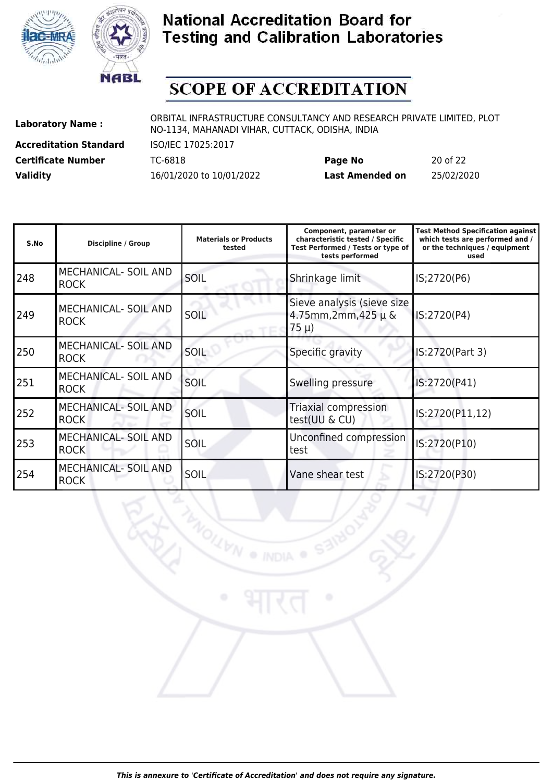



# **SCOPE OF ACCREDITATION**

**Accreditation Standard** ISO/IEC 17025:2017

**Laboratory Name :** ORBITAL INFRASTRUCTURE CONSULTANCY AND RESEARCH PRIVATE LIMITED, PLOT NO-1134, MAHANADI VIHAR, CUTTACK, ODISHA, INDIA

**MOILIVN** 

**Certificate Number** TC-6818 **Page No** 20 of 22 **Validity** 16/01/2020 to 10/01/2022 **Last Amended on** 25/02/2020

| S.No | <b>Discipline / Group</b>                  | <b>Materials or Products</b><br>tested | Component, parameter or<br>characteristic tested / Specific<br>Test Performed / Tests or type of<br>tests performed | <b>Test Method Specification against</b><br>which tests are performed and /<br>or the techniques / equipment<br>used |
|------|--------------------------------------------|----------------------------------------|---------------------------------------------------------------------------------------------------------------------|----------------------------------------------------------------------------------------------------------------------|
| 248  | MECHANICAL- SOIL AND<br><b>ROCK</b>        | SOIL                                   | Shrinkage limit                                                                                                     | IS;2720(P6)                                                                                                          |
| 249  | MECHANICAL- SOIL AND<br><b>ROCK</b>        | <b>SOIL</b>                            | Sieve analysis (sieve size<br>4.75mm,2mm,425 µ &<br>$75 \mu$ )                                                      | IS:2720(P4)                                                                                                          |
| 250  | MECHANICAL- SOIL AND<br><b>ROCK</b>        | SOIL                                   | Specific gravity                                                                                                    | IS:2720(Part 3)                                                                                                      |
| 251  | MECHANICAL- SOIL AND<br><b>ROCK</b>        | SOIL                                   | Swelling pressure                                                                                                   | IS:2720(P41)                                                                                                         |
| 252  | <b>MECHANICAL- SOIL AND</b><br><b>ROCK</b> | SOIL                                   | Triaxial compression<br>test(UU & CU)                                                                               | IS:2720(P11,12)                                                                                                      |
| 253  | MECHANICAL- SOIL AND<br><b>ROCK</b>        | SOIL                                   | Unconfined compression<br>test                                                                                      | IS:2720(P10)                                                                                                         |
| 254  | <b>MECHANICAL- SOIL AND</b><br><b>ROCK</b> | SOIL                                   | Vane shear test                                                                                                     | IS:2720(P30)                                                                                                         |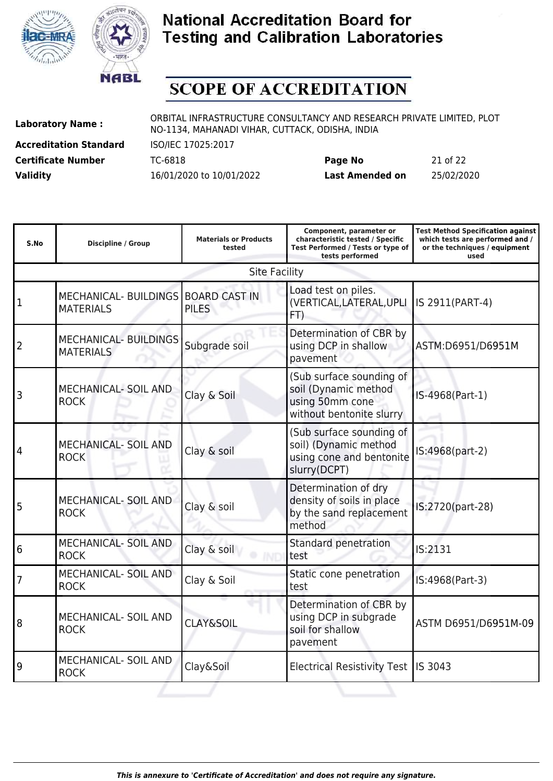



### **SCOPE OF ACCREDITATION**

**Accreditation Standard** ISO/IEC 17025:2017

**Laboratory Name :** ORBITAL INFRASTRUCTURE CONSULTANCY AND RESEARCH PRIVATE LIMITED, PLOT NO-1134, MAHANADI VIHAR, CUTTACK, ODISHA, INDIA

**Certificate Number** TC-6818 **Page No** 21 of 22 **Validity** 16/01/2020 to 10/01/2022 **Last Amended on** 25/02/2020

| S.No            | <b>Discipline / Group</b>                               | <b>Materials or Products</b><br>tested | Component, parameter or<br>characteristic tested / Specific<br>Test Performed / Tests or type of<br>tests performed | <b>Test Method Specification against</b><br>which tests are performed and /<br>or the techniques / equipment<br>used |
|-----------------|---------------------------------------------------------|----------------------------------------|---------------------------------------------------------------------------------------------------------------------|----------------------------------------------------------------------------------------------------------------------|
|                 |                                                         | <b>Site Facility</b>                   |                                                                                                                     |                                                                                                                      |
| $\mathbf{1}$    | MECHANICAL- BUILDINGS BOARD CAST IN<br><b>MATERIALS</b> | <b>PILES</b>                           | Load test on piles.<br>(VERTICAL, LATERAL, UPLI<br>FT)                                                              | IS 2911(PART-4)                                                                                                      |
| 2               | <b>MECHANICAL- BUILDINGS</b><br><b>MATERIALS</b>        | Subgrade soil                          | Determination of CBR by<br>using DCP in shallow<br>pavement                                                         | ASTM:D6951/D6951M                                                                                                    |
| 3               | <b>MECHANICAL- SOIL AND</b><br><b>ROCK</b>              | Clay & Soil                            | (Sub surface sounding of<br>soil (Dynamic method<br>using 50mm cone<br>without bentonite slurry                     | IS-4968(Part-1)                                                                                                      |
| $\overline{4}$  | <b>MECHANICAL- SOIL AND</b><br><b>ROCK</b>              | Clay & soil                            | (Sub surface sounding of<br>soil) (Dynamic method<br>using cone and bentonite<br>slurry(DCPT)                       | IS:4968(part-2)                                                                                                      |
| 5               | <b>MECHANICAL- SOIL AND</b><br><b>ROCK</b>              | Clay & soil                            | Determination of dry<br>density of soils in place<br>by the sand replacement<br>method                              | IS:2720(part-28)                                                                                                     |
| $6\phantom{1}6$ | <b>MECHANICAL- SOIL AND</b><br><b>ROCK</b>              | Clay & soil                            | Standard penetration<br>test                                                                                        | IS:2131                                                                                                              |
| $\overline{7}$  | <b>MECHANICAL- SOIL AND</b><br><b>ROCK</b>              | Clay & Soil                            | Static cone penetration<br>test                                                                                     | IS:4968(Part-3)                                                                                                      |
| 8               | <b>MECHANICAL- SOIL AND</b><br><b>ROCK</b>              | <b>CLAY&amp;SOIL</b>                   | Determination of CBR by<br>using DCP in subgrade<br>soil for shallow<br>pavement                                    | ASTM D6951/D6951M-09                                                                                                 |
| 9               | MECHANICAL- SOIL AND<br><b>ROCK</b>                     | Clay&Soil                              | <b>Electrical Resistivity Test</b>                                                                                  | IS 3043                                                                                                              |